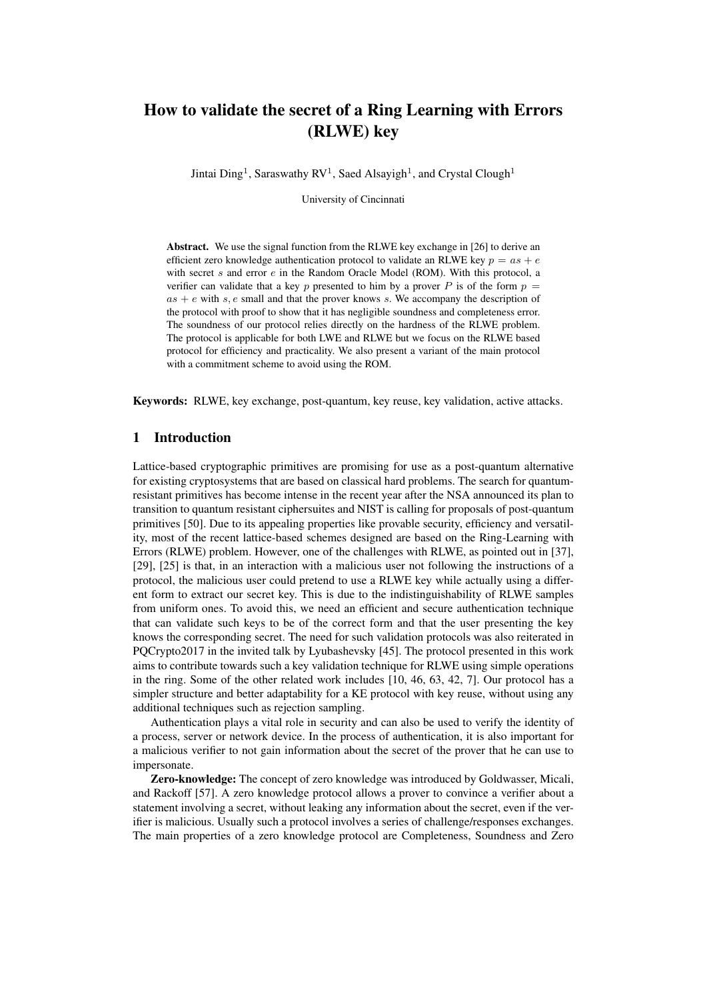# How to validate the secret of a Ring Learning with Errors (RLWE) key

Jintai Ding<sup>1</sup>, Saraswathy RV<sup>1</sup>, Saed Alsayigh<sup>1</sup>, and Crystal Clough<sup>1</sup>

University of Cincinnati

Abstract. We use the signal function from the RLWE key exchange in [\[26\]](#page-16-0) to derive an efficient zero knowledge authentication protocol to validate an RLWE key  $p = as + e$ with secret s and error e in the Random Oracle Model (ROM). With this protocol, a verifier can validate that a key p presented to him by a prover P is of the form  $p =$  $as + e$  with s, e small and that the prover knows s. We accompany the description of the protocol with proof to show that it has negligible soundness and completeness error. The soundness of our protocol relies directly on the hardness of the RLWE problem. The protocol is applicable for both LWE and RLWE but we focus on the RLWE based protocol for efficiency and practicality. We also present a variant of the main protocol with a commitment scheme to avoid using the ROM.

Keywords: RLWE, key exchange, post-quantum, key reuse, key validation, active attacks.

# 1 Introduction

Lattice-based cryptographic primitives are promising for use as a post-quantum alternative for existing cryptosystems that are based on classical hard problems. The search for quantumresistant primitives has become intense in the recent year after the NSA announced its plan to transition to quantum resistant ciphersuites and NIST is calling for proposals of post-quantum primitives [\[50\]](#page-17-0). Due to its appealing properties like provable security, efficiency and versatility, most of the recent lattice-based schemes designed are based on the Ring-Learning with Errors (RLWE) problem. However, one of the challenges with RLWE, as pointed out in [\[37\]](#page-17-1), [\[29\]](#page-16-1), [\[25\]](#page-16-2) is that, in an interaction with a malicious user not following the instructions of a protocol, the malicious user could pretend to use a RLWE key while actually using a different form to extract our secret key. This is due to the indistinguishability of RLWE samples from uniform ones. To avoid this, we need an efficient and secure authentication technique that can validate such keys to be of the correct form and that the user presenting the key knows the corresponding secret. The need for such validation protocols was also reiterated in PQCrypto2017 in the invited talk by Lyubashevsky [\[45\]](#page-17-2). The protocol presented in this work aims to contribute towards such a key validation technique for RLWE using simple operations in the ring. Some of the other related work includes [\[10,](#page-15-0) [46,](#page-17-3) [63,](#page-18-0) [42,](#page-17-4) [7\]](#page-15-1). Our protocol has a simpler structure and better adaptability for a KE protocol with key reuse, without using any additional techniques such as rejection sampling.

Authentication plays a vital role in security and can also be used to verify the identity of a process, server or network device. In the process of authentication, it is also important for a malicious verifier to not gain information about the secret of the prover that he can use to impersonate.

Zero-knowledge: The concept of zero knowledge was introduced by Goldwasser, Micali, and Rackoff [\[57\]](#page-18-1). A zero knowledge protocol allows a prover to convince a verifier about a statement involving a secret, without leaking any information about the secret, even if the verifier is malicious. Usually such a protocol involves a series of challenge/responses exchanges. The main properties of a zero knowledge protocol are Completeness, Soundness and Zero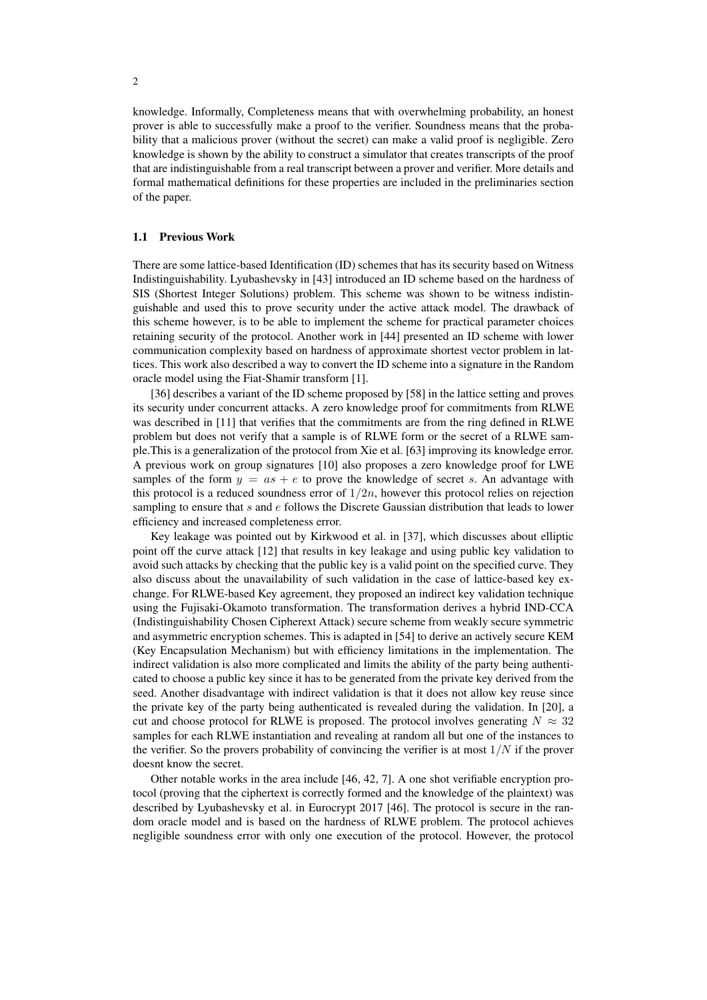knowledge. Informally, Completeness means that with overwhelming probability, an honest prover is able to successfully make a proof to the verifier. Soundness means that the probability that a malicious prover (without the secret) can make a valid proof is negligible. Zero knowledge is shown by the ability to construct a simulator that creates transcripts of the proof that are indistinguishable from a real transcript between a prover and verifier. More details and formal mathematical definitions for these properties are included in the preliminaries section of the paper.

#### 1.1 Previous Work

There are some lattice-based Identification (ID) schemes that has its security based on Witness Indistinguishability. Lyubashevsky in [\[43\]](#page-17-5) introduced an ID scheme based on the hardness of SIS (Shortest Integer Solutions) problem. This scheme was shown to be witness indistinguishable and used this to prove security under the active attack model. The drawback of this scheme however, is to be able to implement the scheme for practical parameter choices retaining security of the protocol. Another work in [\[44\]](#page-17-6) presented an ID scheme with lower communication complexity based on hardness of approximate shortest vector problem in lattices. This work also described a way to convert the ID scheme into a signature in the Random oracle model using the Fiat-Shamir transform [\[1\]](#page-15-2).

[\[36\]](#page-17-7) describes a variant of the ID scheme proposed by [\[58\]](#page-18-2) in the lattice setting and proves its security under concurrent attacks. A zero knowledge proof for commitments from RLWE was described in [\[11\]](#page-15-3) that verifies that the commitments are from the ring defined in RLWE problem but does not verify that a sample is of RLWE form or the secret of a RLWE sample.This is a generalization of the protocol from Xie et al. [\[63\]](#page-18-0) improving its knowledge error. A previous work on group signatures [\[10\]](#page-15-0) also proposes a zero knowledge proof for LWE samples of the form  $y = as + e$  to prove the knowledge of secret s. An advantage with this protocol is a reduced soundness error of  $1/2n$ , however this protocol relies on rejection sampling to ensure that  $s$  and  $e$  follows the Discrete Gaussian distribution that leads to lower efficiency and increased completeness error.

Key leakage was pointed out by Kirkwood et al. in [\[37\]](#page-17-1), which discusses about elliptic point off the curve attack [\[12\]](#page-15-4) that results in key leakage and using public key validation to avoid such attacks by checking that the public key is a valid point on the specified curve. They also discuss about the unavailability of such validation in the case of lattice-based key exchange. For RLWE-based Key agreement, they proposed an indirect key validation technique using the Fujisaki-Okamoto transformation. The transformation derives a hybrid IND-CCA (Indistinguishability Chosen Cipherext Attack) secure scheme from weakly secure symmetric and asymmetric encryption schemes. This is adapted in [\[54\]](#page-17-8) to derive an actively secure KEM (Key Encapsulation Mechanism) but with efficiency limitations in the implementation. The indirect validation is also more complicated and limits the ability of the party being authenticated to choose a public key since it has to be generated from the private key derived from the seed. Another disadvantage with indirect validation is that it does not allow key reuse since the private key of the party being authenticated is revealed during the validation. In [\[20\]](#page-16-3), a cut and choose protocol for RLWE is proposed. The protocol involves generating  $N \approx 32$ samples for each RLWE instantiation and revealing at random all but one of the instances to the verifier. So the provers probability of convincing the verifier is at most  $1/N$  if the prover doesnt know the secret.

Other notable works in the area include [\[46,](#page-17-3) [42,](#page-17-4) [7\]](#page-15-1). A one shot verifiable encryption protocol (proving that the ciphertext is correctly formed and the knowledge of the plaintext) was described by Lyubashevsky et al. in Eurocrypt 2017 [\[46\]](#page-17-3). The protocol is secure in the random oracle model and is based on the hardness of RLWE problem. The protocol achieves negligible soundness error with only one execution of the protocol. However, the protocol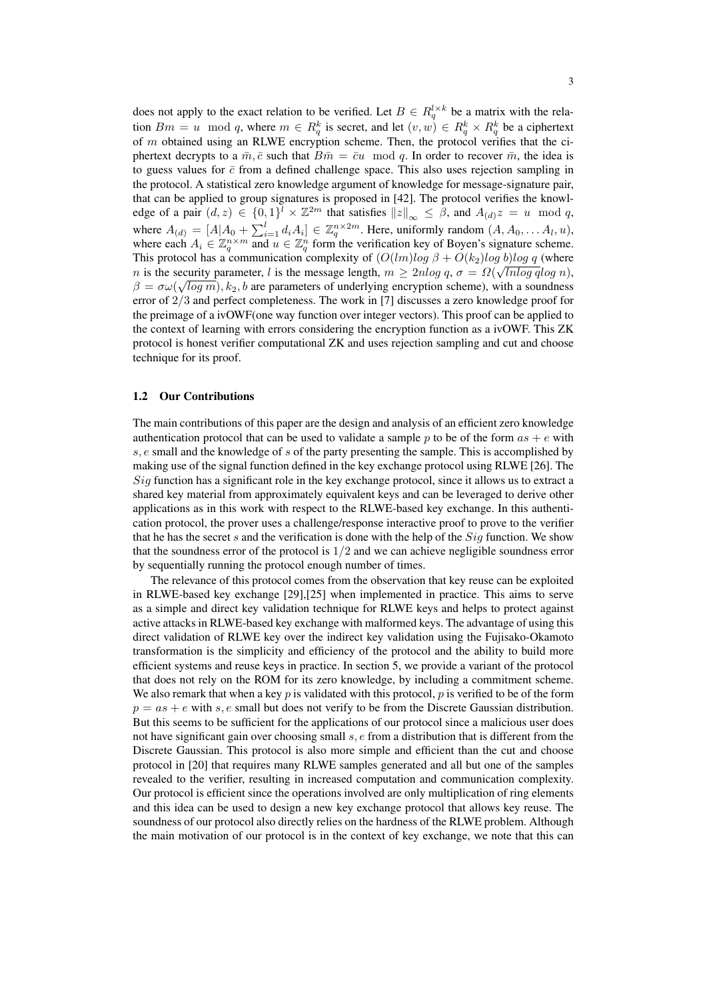does not apply to the exact relation to be verified. Let  $B \in R_q^{l \times k}$  be a matrix with the relation  $Bm = u \mod q$ , where  $m \in R_q^k$  is secret, and let  $(v, w) \in R_q^k \times R_q^k$  be a ciphertext of  $m$  obtained using an RLWE encryption scheme. Then, the protocol verifies that the ciphertext decrypts to a  $\bar{m}, \bar{c}$  such that  $B\bar{m} = \bar{c}u \mod q$ . In order to recover  $\bar{m}$ , the idea is to guess values for  $\bar{c}$  from a defined challenge space. This also uses rejection sampling in the protocol. A statistical zero knowledge argument of knowledge for message-signature pair, that can be applied to group signatures is proposed in [\[42\]](#page-17-4). The protocol verifies the knowledge of a pair  $(d, z) \in \{0, 1\}^{\ell} \times \mathbb{Z}^{2m}$  that satisfies  $||z||_{\infty} \leq \beta$ , and  $A_{(d)}z = u \mod q$ , where  $A_{(d)} = [A|A_0 + \sum_{i=1}^l d_i A_i] \in \mathbb{Z}_q^{n \times 2m}$ . Here, uniformly random  $(A, A_0, \ldots, A_l, u)$ , where each  $A_i \in \mathbb{Z}_q^n \times m$  and  $u \in \mathbb{Z}_q^n$  form the verification key of Boyen's signature scheme. This protocol has a communication complexity of  $(O(lm)log \beta + O(k_2)log \ b)log \ q$  (where *n* is the security parameter, *l* is the message length,  $m \ge 2n \log q$ ,  $\sigma = \Omega(\sqrt{\ln \log q} \log n)$ ,  $\beta = \sigma \omega(\sqrt{\log m})$ ,  $k_2$ , b are parameters of underlying encryption scheme), with a soundness error of 2/3 and perfect completeness. The work in [\[7\]](#page-15-1) discusses a zero knowledge proof for the preimage of a ivOWF(one way function over integer vectors). This proof can be applied to the context of learning with errors considering the encryption function as a ivOWF. This ZK protocol is honest verifier computational ZK and uses rejection sampling and cut and choose technique for its proof.

#### 1.2 Our Contributions

The main contributions of this paper are the design and analysis of an efficient zero knowledge authentication protocol that can be used to validate a sample p to be of the form  $as + e$  with s, e small and the knowledge of s of the party presenting the sample. This is accomplished by making use of the signal function defined in the key exchange protocol using RLWE [\[26\]](#page-16-0). The Sig function has a significant role in the key exchange protocol, since it allows us to extract a shared key material from approximately equivalent keys and can be leveraged to derive other applications as in this work with respect to the RLWE-based key exchange. In this authentication protocol, the prover uses a challenge/response interactive proof to prove to the verifier that he has the secret s and the verification is done with the help of the  $Sig$  function. We show that the soundness error of the protocol is 1/2 and we can achieve negligible soundness error by sequentially running the protocol enough number of times.

The relevance of this protocol comes from the observation that key reuse can be exploited in RLWE-based key exchange [\[29\]](#page-16-1),[\[25\]](#page-16-2) when implemented in practice. This aims to serve as a simple and direct key validation technique for RLWE keys and helps to protect against active attacks in RLWE-based key exchange with malformed keys. The advantage of using this direct validation of RLWE key over the indirect key validation using the Fujisako-Okamoto transformation is the simplicity and efficiency of the protocol and the ability to build more efficient systems and reuse keys in practice. In section [5,](#page-11-0) we provide a variant of the protocol that does not rely on the ROM for its zero knowledge, by including a commitment scheme. We also remark that when a key  $p$  is validated with this protocol,  $p$  is verified to be of the form  $p = as + e$  with s, e small but does not verify to be from the Discrete Gaussian distribution. But this seems to be sufficient for the applications of our protocol since a malicious user does not have significant gain over choosing small s, e from a distribution that is different from the Discrete Gaussian. This protocol is also more simple and efficient than the cut and choose protocol in [\[20\]](#page-16-3) that requires many RLWE samples generated and all but one of the samples revealed to the verifier, resulting in increased computation and communication complexity. Our protocol is efficient since the operations involved are only multiplication of ring elements and this idea can be used to design a new key exchange protocol that allows key reuse. The soundness of our protocol also directly relies on the hardness of the RLWE problem. Although the main motivation of our protocol is in the context of key exchange, we note that this can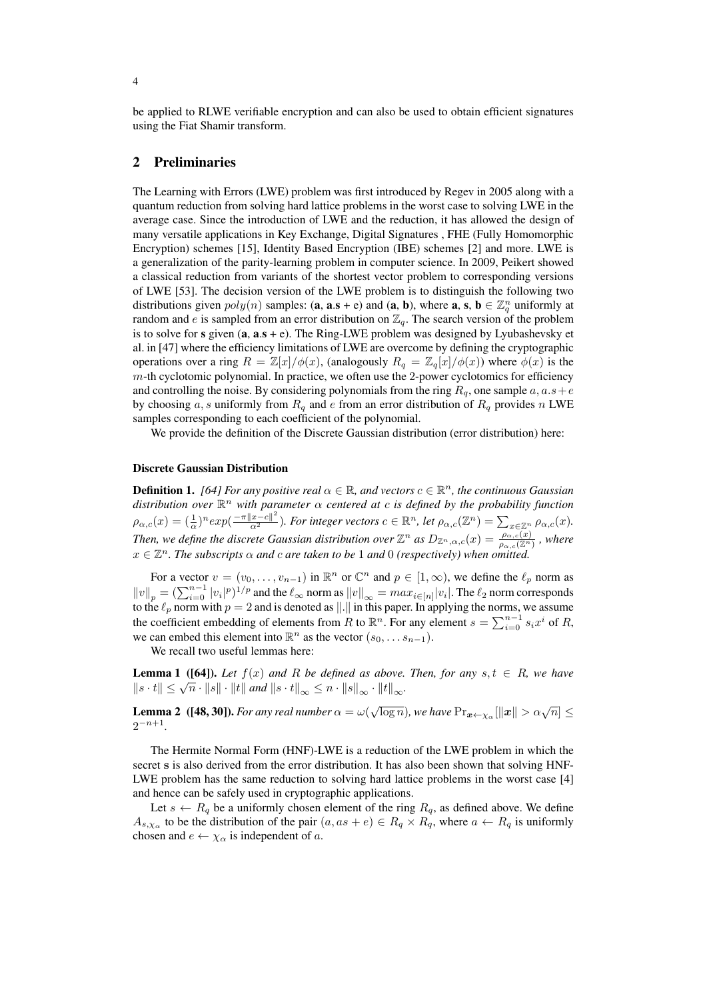be applied to RLWE verifiable encryption and can also be used to obtain efficient signatures using the Fiat Shamir transform.

# 2 Preliminaries

The Learning with Errors (LWE) problem was first introduced by Regev in 2005 along with a quantum reduction from solving hard lattice problems in the worst case to solving LWE in the average case. Since the introduction of LWE and the reduction, it has allowed the design of many versatile applications in Key Exchange, Digital Signatures , FHE (Fully Homomorphic Encryption) schemes [\[15\]](#page-15-5), Identity Based Encryption (IBE) schemes [\[2\]](#page-15-6) and more. LWE is a generalization of the parity-learning problem in computer science. In 2009, Peikert showed a classical reduction from variants of the shortest vector problem to corresponding versions of LWE [\[53\]](#page-17-9). The decision version of the LWE problem is to distinguish the following two distributions given  $poly(n)$  samples: (**a**, **a**.s + e) and (**a**, **b**), where **a**, **s**, **b**  $\in \mathbb{Z}_q^n$  uniformly at random and e is sampled from an error distribution on  $\mathbb{Z}_q$ . The search version of the problem is to solve for  $s$  given  $(a, a.s + e)$ . The Ring-LWE problem was designed by Lyubashevsky et al. in [\[47\]](#page-17-10) where the efficiency limitations of LWE are overcome by defining the cryptographic operations over a ring  $R = \mathbb{Z}[x]/\phi(x)$ , (analogously  $R_q = \mathbb{Z}_q[x]/\phi(x)$ ) where  $\phi(x)$  is the  $m$ -th cyclotomic polynomial. In practice, we often use the 2-power cyclotomics for efficiency and controlling the noise. By considering polynomials from the ring  $R_q$ , one sample  $a, a.s + e$ by choosing a, s uniformly from  $R_q$  and e from an error distribution of  $R_q$  provides n LWE samples corresponding to each coefficient of the polynomial.

We provide the definition of the Discrete Gaussian distribution (error distribution) here:

#### Discrete Gaussian Distribution

**Definition 1.** [\[64\]](#page-18-3) For any positive real  $\alpha \in \mathbb{R}$ , and vectors  $c \in \mathbb{R}^n$ , the continuous Gaussian *distribution over* R <sup>n</sup> *with parameter* α *centered at* c *is defined by the probability function*  $\rho_{\alpha,c}(x)=(\frac{1}{\alpha})^n exp(\frac{-\pi ||x-c||^2}{\alpha^2})$ . For integer vectors  $c\in\mathbb{R}^n$ , let  $\rho_{\alpha,c}(\mathbb{Z}^n)=\sum_{x\in\mathbb{Z}^n}\rho_{\alpha,c}(x)$ . *Then, we define the discrete Gaussian distribution over*  $\mathbb{Z}^n$  *as*  $D_{\mathbb{Z}^n,\alpha,c}(x) = \frac{\rho_{\alpha,c}(x)}{\rho_{\alpha,c}(x^n)}$ , where  $x \in \mathbb{Z}^n$ . The subscripts  $\alpha$  and c are taken to be 1 and 0 (respectively) when omitted.

For a vector  $v = (v_0, \dots, v_{n-1})$  in  $\mathbb{R}^n$  or  $\mathbb{C}^n$  and  $p \in [1, \infty)$ , we define the  $\ell_p$  norm as  $||v||_p = (\sum_{i=0}^{n-1} |v_i|^p)^{1/p}$  and the  $\ell_{\infty}$  norm as  $||v||_{\infty} = max_{i \in [n]} |v_i|$ . The  $\ell_2$  norm corresponds to the  $\ell_p$  norm with  $p = 2$  and is denoted as  $\|\cdot\|$  in this paper. In applying the norms, we assume the coefficient embedding of elements from R to  $\mathbb{R}^n$ . For any element  $s = \sum_{i=0}^{n-1} s_i x^i$  of R, we can embed this element into  $\mathbb{R}^n$  as the vector  $(s_0, \ldots s_{n-1})$ .

<span id="page-3-1"></span>We recall two useful lemmas here:

**Lemma 1** ([\[64\]](#page-18-3)). Let  $f(x)$  and R be defined as above. Then, for any  $s, t \in R$ , we have **Example 1** (**(04)**, Let  $f(x)$  and  $R$  be defined as above.<br> $||s \cdot t|| \leq \sqrt{n} \cdot ||s|| \cdot ||t||$  and  $||s \cdot t||_{\infty} \leq n \cdot ||s||_{\infty} \cdot ||t||_{\infty}$ .

<span id="page-3-0"></span>**Lemma 2** ([\[48,](#page-17-11) [30\]](#page-16-4)). *For any real number*  $\alpha = \omega(\sqrt{\log n})$ , we have  $\Pr_{\bm{x} \leftarrow \chi_{\alpha}} [\|\bm{x}\| > \alpha \sqrt{n}] \leq$  $2^{-n+1}$ .

The Hermite Normal Form (HNF)-LWE is a reduction of the LWE problem in which the secret s is also derived from the error distribution. It has also been shown that solving HNF-LWE problem has the same reduction to solving hard lattice problems in the worst case [\[4\]](#page-15-7) and hence can be safely used in cryptographic applications.

Let  $s \leftarrow R_q$  be a uniformly chosen element of the ring  $R_q$ , as defined above. We define  $A_{s,\chi_{\alpha}}$  to be the distribution of the pair  $(a, as + e) \in R_q \times R_q$ , where  $a \leftarrow R_q$  is uniformly chosen and  $e \leftarrow \chi_{\alpha}$  is independent of a.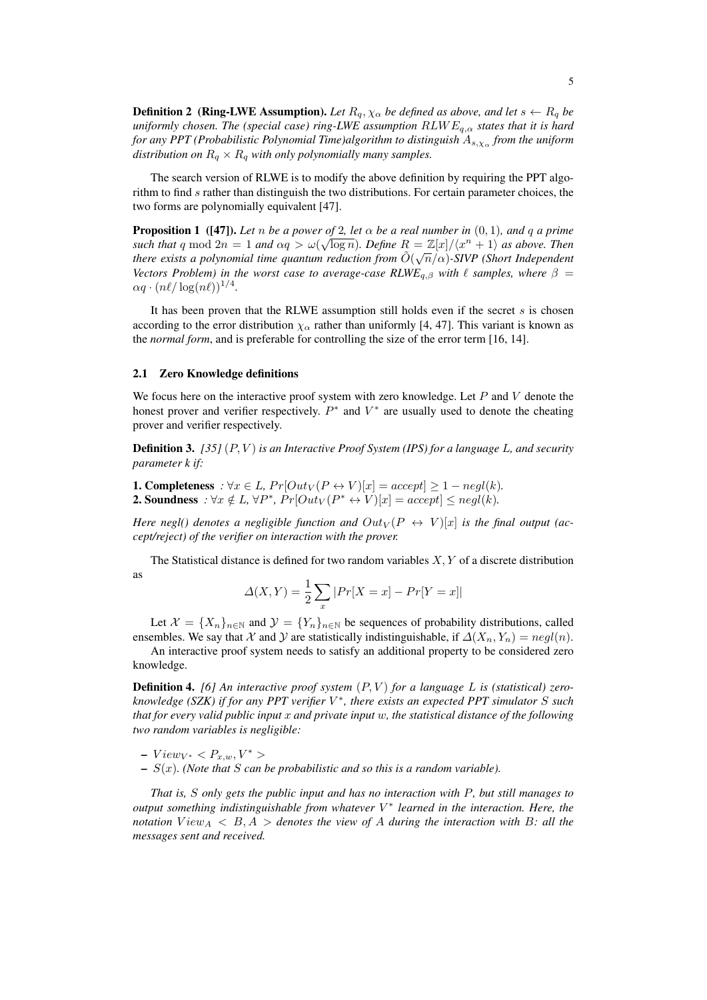**Definition 2** (Ring-LWE Assumption). Let  $R_q$ ,  $\chi_\alpha$  be defined as above, and let  $s \leftarrow R_q$  be *uniformly chosen. The (special case) ring-LWE assumption* RLW Eq,α *states that it is hard for any PPT (Probabilistic Polynomial Time)algorithm to distinguish* As,χ<sup>α</sup> *from the uniform distribution on*  $R_q \times R_q$  *with only polynomially many samples.* 

The search version of RLWE is to modify the above definition by requiring the PPT algorithm to find s rather than distinguish the two distributions. For certain parameter choices, the two forms are polynomially equivalent [\[47\]](#page-17-10).

**Proposition 1** ([\[47\]](#page-17-10)). Let *n* be a power of 2*, let*  $\alpha$  be a real number in  $(0, 1)$ *, and* q a prime *such that*  $q \mod 2n = 1$  *and*  $\alpha q > \omega(\sqrt{\log n})$ *. Define*  $R = \mathbb{Z}[x]/\langle x^n + 1 \rangle$  *as above. Then there exists a polynomial time quantum reduction from*  $\tilde{O}(\sqrt{n}/\alpha)$ -SIVP (Short Independent *Vectors Problem) in the worst case to average-case RLWE<sub>q,β</sub> with*  $\ell$  *samples, where*  $\beta$  =  $\alpha q \cdot (n\ell/\log(n\ell))^{1/4}.$ 

It has been proven that the RLWE assumption still holds even if the secret  $s$  is chosen according to the error distribution  $\chi_{\alpha}$  rather than uniformly [\[4,](#page-15-7) [47\]](#page-17-10). This variant is known as the *normal form*, and is preferable for controlling the size of the error term [\[16,](#page-16-5) [14\]](#page-15-8).

#### 2.1 Zero Knowledge definitions

We focus here on the interactive proof system with zero knowledge. Let  $P$  and  $V$  denote the honest prover and verifier respectively.  $P^*$  and  $V^*$  are usually used to denote the cheating prover and verifier respectively.

Definition 3. *[\[35\]](#page-17-12)* (P, V ) *is an Interactive Proof System (IPS) for a language* L*, and security parameter k if:*

**1. Completeness**  $:\forall x \in L$ ,  $Pr[Out_V(P \leftrightarrow V)[x] = accept] \ge 1 - negl(k)$ . **2. Soundness**  $: \forall x \notin L, \forall P^*, Pr[Out_V(P^* \leftrightarrow V)[x] = accept] \leq negl(k)$ .

*Here negl() denotes a negligible function and*  $Out_V(P \leftrightarrow V)[x]$  *is the final output (accept/reject) of the verifier on interaction with the prover.*

The Statistical distance is defined for two random variables  $X, Y$  of a discrete distribution as

$$
\Delta(X, Y) = \frac{1}{2} \sum_{x} |Pr[X = x] - Pr[Y = x]|
$$

Let  $\mathcal{X} = \{X_n\}_{n\in\mathbb{N}}$  and  $\mathcal{Y} = \{Y_n\}_{n\in\mathbb{N}}$  be sequences of probability distributions, called ensembles. We say that X and Y are statistically indistinguishable, if  $\Delta(X_n, Y_n) = negl(n)$ .

An interactive proof system needs to satisfy an additional property to be considered zero knowledge.

**Definition 4.** [\[6\]](#page-15-9) An interactive proof system  $(P, V)$  for a language L is (statistical) zero*knowledge (SZK) if for any PPT verifier* V ∗ *, there exists an expected PPT simulator* S *such that for every valid public input* x *and private input* w*, the statistical distance of the following two random variables is negligible:*

- $View_{V^*} < P_{x,w}, V^* >$
- S(x)*. (Note that* S *can be probabilistic and so this is a random variable).*

*That is,* S *only gets the public input and has no interaction with* P*, but still manages to output something indistinguishable from whatever* V ∗ *learned in the interaction. Here, the notation*  $View_A < B, A >$  *denotes the view of A during the interaction with* B: all the *messages sent and received.*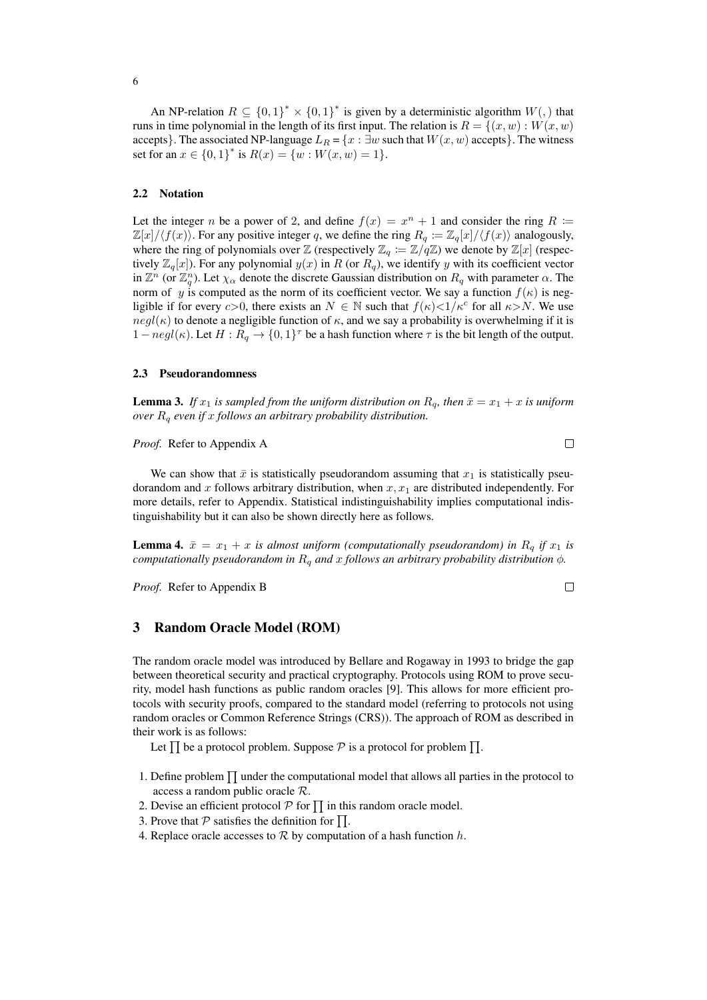#### <span id="page-5-2"></span>2.2 Notation

Let the integer n be a power of 2, and define  $f(x) = x^n + 1$  and consider the ring  $R :=$  $\mathbb{Z}[x]/\langle f(x) \rangle$ . For any positive integer q, we define the ring  $R_q \coloneqq \mathbb{Z}_q[x]/\langle f(x) \rangle$  analogously, where the ring of polynomials over Z (respectively  $\mathbb{Z}_q := \mathbb{Z}/q\mathbb{Z}$ ) we denote by  $\mathbb{Z}[x]$  (respectively  $\mathbb{Z}_q[x]$ ). For any polynomial  $y(x)$  in R (or  $R_q$ ), we identify y with its coefficient vector in  $\mathbb{Z}^n$  (or  $\mathbb{Z}_q^n$ ). Let  $\chi_\alpha$  denote the discrete Gaussian distribution on  $R_q$  with parameter  $\alpha$ . The norm of y is computed as the norm of its coefficient vector. We say a function  $f(\kappa)$  is negligible if for every c>0, there exists an  $N \in \mathbb{N}$  such that  $f(\kappa) < 1/\kappa^c$  for all  $\kappa > N$ . We use  $negl(\kappa)$  to denote a negligible function of  $\kappa$ , and we say a probability is overwhelming if it is  $1-negl(\kappa)$ . Let  $H: R_q \to \{0,1\}^\tau$  be a hash function where  $\tau$  is the bit length of the output.

#### <span id="page-5-0"></span>2.3 Pseudorandomness

<span id="page-5-1"></span>**Lemma 3.** If  $x_1$  is sampled from the uniform distribution on  $R_q$ , then  $\bar{x} = x_1 + x$  is uniform *over* R<sup>q</sup> *even if* x *follows an arbitrary probability distribution.*

### *Proof.* Refer to Appendix [A](#page-18-4)

We can show that  $\bar{x}$  is statistically pseudorandom assuming that  $x_1$  is statistically pseudorandom and x follows arbitrary distribution, when  $x, x_1$  are distributed independently. For more details, refer to Appendix. Statistical indistinguishability implies computational indistinguishability but it can also be shown directly here as follows.

<span id="page-5-3"></span>**Lemma 4.**  $\bar{x} = x_1 + x$  *is almost uniform (computationally pseudorandom) in*  $R_q$  *if*  $x_1$  *is computationally pseudorandom in*  $R_q$  *and* x *follows an arbitrary probability distribution*  $\phi$ *.* 

*Proof.* Refer to Appendix [B](#page-19-0)

### 3 Random Oracle Model (ROM)

The random oracle model was introduced by Bellare and Rogaway in 1993 to bridge the gap between theoretical security and practical cryptography. Protocols using ROM to prove security, model hash functions as public random oracles [\[9\]](#page-15-10). This allows for more efficient protocols with security proofs, compared to the standard model (referring to protocols not using random oracles or Common Reference Strings (CRS)). The approach of ROM as described in their work is as follows:

Let  $\prod$  be a protocol problem. Suppose  $P$  is a protocol for problem  $\prod$ .

- 1. Define problem  $\prod$  under the computational model that allows all parties in the protocol to access a random public oracle R.
- 2. Devise an efficient protocol  $P$  for  $\Pi$  in this random oracle model.
- 3. Prove that  $P$  satisfies the definition for  $\prod$ .
- 4. Replace oracle accesses to  $R$  by computation of a hash function  $h$ .

 $\Box$ 

 $\Box$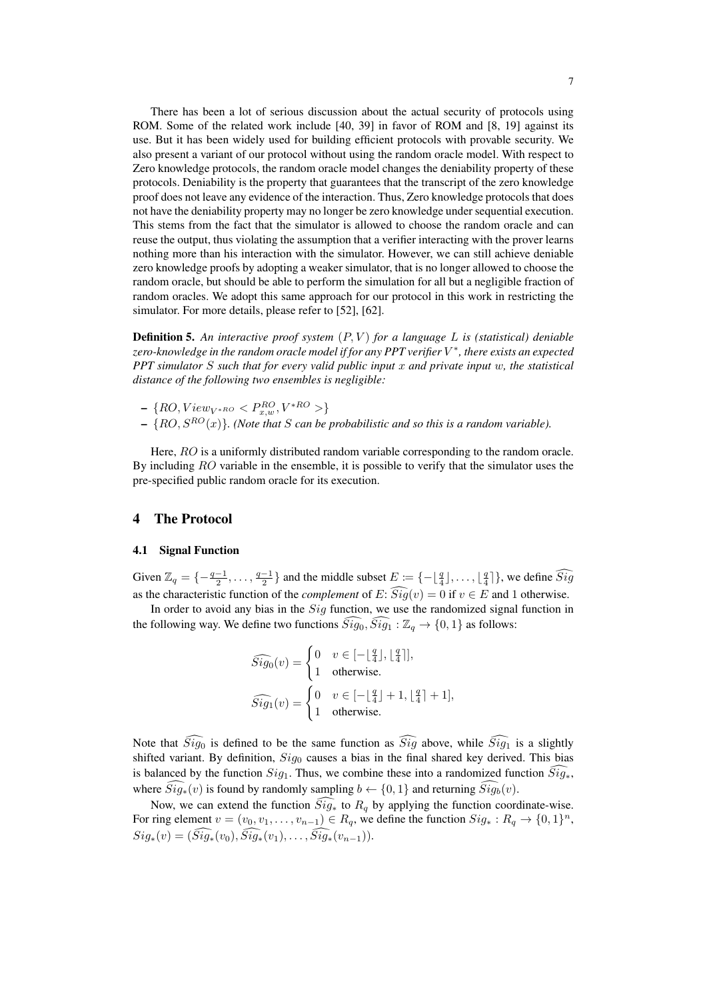There has been a lot of serious discussion about the actual security of protocols using ROM. Some of the related work include [\[40,](#page-17-13) [39\]](#page-17-14) in favor of ROM and [\[8,](#page-15-11) [19\]](#page-16-6) against its use. But it has been widely used for building efficient protocols with provable security. We also present a variant of our protocol without using the random oracle model. With respect to Zero knowledge protocols, the random oracle model changes the deniability property of these protocols. Deniability is the property that guarantees that the transcript of the zero knowledge proof does not leave any evidence of the interaction. Thus, Zero knowledge protocols that does not have the deniability property may no longer be zero knowledge under sequential execution. This stems from the fact that the simulator is allowed to choose the random oracle and can reuse the output, thus violating the assumption that a verifier interacting with the prover learns nothing more than his interaction with the simulator. However, we can still achieve deniable zero knowledge proofs by adopting a weaker simulator, that is no longer allowed to choose the random oracle, but should be able to perform the simulation for all but a negligible fraction of random oracles. We adopt this same approach for our protocol in this work in restricting the simulator. For more details, please refer to [\[52\]](#page-17-15), [\[62\]](#page-18-5).

Definition 5. *An interactive proof system* (P, V ) *for a language* L *is (statistical) deniable zero-knowledge in the random oracle model if for any PPT verifier* V ∗ *, there exists an expected PPT simulator* S *such that for every valid public input* x *and private input* w*, the statistical distance of the following two ensembles is negligible:*

- $\{RO, View_{V^{*RO}} < P_{x,w}^{RO}, V^{*RO} > \}$
- $\{RO, S^{RO}(x)\}.$  (Note that S can be probabilistic and so this is a random variable).

Here, RO is a uniformly distributed random variable corresponding to the random oracle. By including RO variable in the ensemble, it is possible to verify that the simulator uses the pre-specified public random oracle for its execution.

## 4 The Protocol

#### 4.1 Signal Function

Given  $\mathbb{Z}_q = \{-\frac{q-1}{2}, \ldots, \frac{q-1}{2}\}$  and the middle subset  $E := \{-\lfloor \frac{q}{4} \rfloor, \ldots, \lfloor \frac{q}{4} \rfloor\}$ , we define  $\widehat{Sig}$ as the characteristic function of the *complement* of E:  $\widehat{Sig}(v) = 0$  if  $v \in E$  and 1 otherwise.

In order to avoid any bias in the  $Sig$  function, we use the randomized signal function in the following way. We define two functions  $\widehat{Sig}_0$ ,  $\widehat{Sig}_1 : \mathbb{Z}_q \to \{0, 1\}$  as follows:

$$
\widehat{Sig_0}(v) = \begin{cases}\n0 & v \in [-\lfloor \frac{q}{4} \rfloor, \lfloor \frac{q}{4} \rfloor], \\
1 & \text{otherwise.} \n\end{cases}
$$
\n
$$
\widehat{Sig_1}(v) = \begin{cases}\n0 & v \in [-\lfloor \frac{q}{4} \rfloor + 1, \lfloor \frac{q}{4} \rfloor + 1], \\
1 & \text{otherwise.} \n\end{cases}
$$

Note that  $\widehat{Sig_0}$  is defined to be the same function as  $\widehat{Sig}$  above, while  $\widehat{Sig_1}$  is a slightly shifted variant. By definition,  $Sig_0$  causes a bias in the final shared key derived. This bias is balanced by the function  $Sig_1$ . Thus, we combine these into a randomized function  $\widehat{Sig_*}$ , where  $\tilde{Sig}_*(v)$  is found by randomly sampling  $b \leftarrow \{0, 1\}$  and returning  $\tilde{Sig}_b(v)$ .

Now, we can extend the function  $Sig_*$  to  $R_q$  by applying the function coordinate-wise. For ring element  $v = (v_0, v_1, \dots, v_{n-1}) \in R_q$ , we define the function  $Sig_* : R_q \to \{0, 1\}^n$ ,  $Sig_*(v) = (\widehat{Sig}_*(v_0), \widehat{Sig}_*(v_1), \ldots, \widehat{Sig}_*(v_{n-1})).$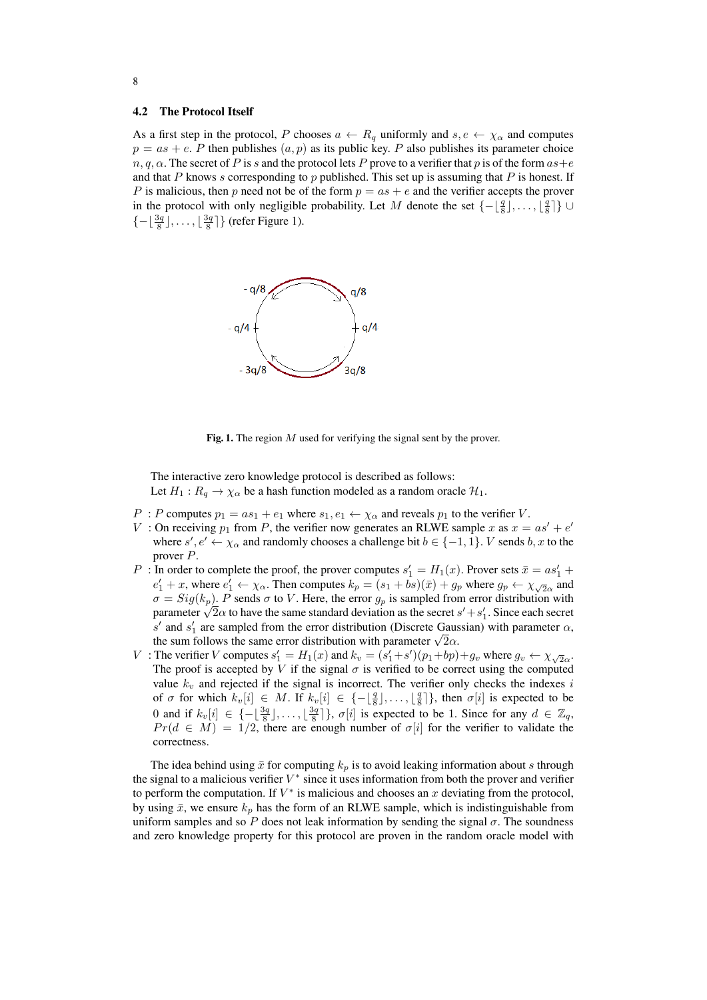#### 4.2 The Protocol Itself

As a first step in the protocol, P chooses  $a \leftarrow R_q$  uniformly and  $s, e \leftarrow \chi_\alpha$  and computes  $p = as + e$ . P then publishes  $(a, p)$  as its public key. P also publishes its parameter choice  $n, q, \alpha$ . The secret of P is s and the protocol lets P prove to a verifier that p is of the form  $as+e$ and that P knows s corresponding to p published. This set up is assuming that P is honest. If P is malicious, then p need not be of the form  $p = as + e$  and the verifier accepts the prover in the protocol with only negligible probability. Let M denote the set  $\{-\lfloor \frac{q}{8} \rfloor, \ldots, \lfloor \frac{q}{8} \rfloor\}$  $\{-\lfloor \frac{3q}{8} \rfloor, \ldots, \lfloor \frac{3q}{8} \rfloor\}$  (refer Figure [1\)](#page-7-0).



<span id="page-7-0"></span>Fig. 1. The region  $M$  used for verifying the signal sent by the prover.

The interactive zero knowledge protocol is described as follows: Let  $H_1: R_q \to \chi_\alpha$  be a hash function modeled as a random oracle  $\mathcal{H}_1$ .

- P : P computes  $p_1 = as_1 + e_1$  where  $s_1, e_1 \leftarrow \chi_\alpha$  and reveals  $p_1$  to the verifier V.
- V: On receiving  $p_1$  from P, the verifier now generates an RLWE sample x as  $x = as' + e'$ where  $s', e' \leftarrow \chi_{\alpha}$  and randomly chooses a challenge bit  $b \in \{-1, 1\}$ . V sends  $b, x$  to the prover P.
- P : In order to complete the proof, the prover computes  $s'_1 = H_1(x)$ . Prover sets  $\bar{x} = as'_1 +$  $e'_1 + x$ , where  $e'_1 \leftarrow \chi_\alpha$ . Then computes  $k_p = (s_1 + bs)(\bar{x}) + g_p$  where  $g_p \leftarrow \chi_{\sqrt{2}\alpha}$  and  $\sigma = Sig(k_p)$ . P sends  $\sigma$  to V. Here, the error  $g_p$  is sampled from error distribution with  $\sigma = \text{sig}(k_p)$ . P sends  $\sigma$  to V. Here, the error  $g_p$  is sampled from error distribution with parameter  $\sqrt{2}\alpha$  to have the same standard deviation as the secret  $s' + s'_1$ . Since each secret s' and s'<sub>1</sub> are sampled from the error distribution (Discrete Gaussian) with parameter  $\alpha$ , s and  $s_1$  are sampled from the error distribution (Discrete Gauss the sum follows the same error distribution with parameter  $\sqrt{2}\alpha$ .
- V : The verifier V computes  $s'_1 = H_1(x)$  and  $k_v = (s'_1 + s')(p_1 + bp) + g_v$  where  $g_v \leftarrow \chi_{\sqrt{2}\alpha}$ . The proof is accepted by V if the signal  $\sigma$  is verified to be correct using the computed value  $k_v$  and rejected if the signal is incorrect. The verifier only checks the indexes i of  $\sigma$  for which  $k_v[i] \in M$ . If  $k_v[i] \in \{-\lfloor \frac{q}{8} \rfloor, \ldots, \lfloor \frac{q}{8} \rfloor\}$ , then  $\sigma[i]$  is expected to be 0 and if  $k_v[i] \in \{-\lfloor \frac{3q}{8} \rfloor, \ldots, \lfloor \frac{3q}{8} \rfloor\}, \sigma[i]$  is expected to be 1. Since for any  $d \in \mathbb{Z}_q$ ,  $Pr(d \in M) = 1/2$ , there are enough number of  $\sigma[i]$  for the verifier to validate the correctness.

The idea behind using  $\bar{x}$  for computing  $k_p$  is to avoid leaking information about s through the signal to a malicious verifier  $V^*$  since it uses information from both the prover and verifier to perform the computation. If  $V^*$  is malicious and chooses an  $x$  deviating from the protocol, by using  $\bar{x}$ , we ensure  $k_p$  has the form of an RLWE sample, which is indistinguishable from uniform samples and so P does not leak information by sending the signal  $\sigma$ . The soundness and zero knowledge property for this protocol are proven in the random oracle model with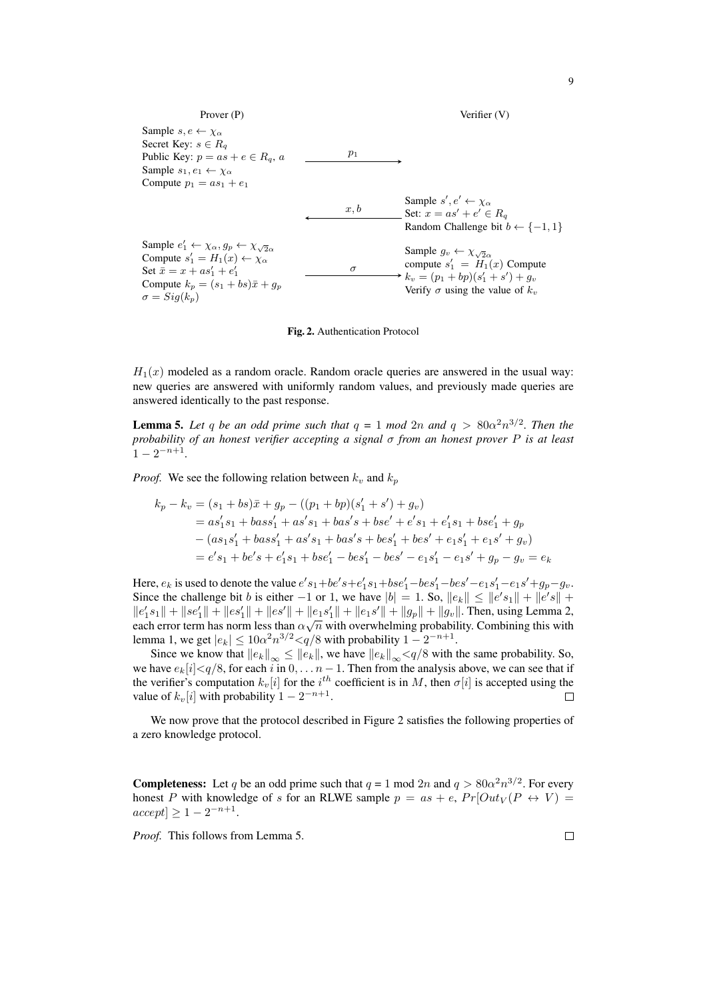

<span id="page-8-0"></span>Fig. 2. Authentication Protocol

 $H_1(x)$  modeled as a random oracle. Random oracle queries are answered in the usual way: new queries are answered with uniformly random values, and previously made queries are answered identically to the past response.

<span id="page-8-1"></span>**Lemma 5.** Let q be an odd prime such that  $q = 1 \mod 2n$  and  $q > 80\alpha^2 n^{3/2}$ . Then the *probability of an honest verifier accepting a signal* σ *from an honest prover* P *is at least*  $1 - 2^{-n+1}$ .

*Proof.* We see the following relation between  $k_v$  and  $k_p$ 

$$
k_p - k_v = (s_1 + bs)\bar{x} + g_p - ((p_1 + bp)(s'_1 + s') + g_v)
$$
  
=  $as'_1s_1 + bass'_1 + as's_1 + bas's + bse' + e's_1 + e'_1s_1 + bse'_1 + g_p$   
 $- (as_1s'_1 + bass'_1 + as's_1 + bas's + bes'_1 + bes' + e_1s'_1 + e_1s' + g_v)$   
=  $e's_1 + be's + e'_1s_1 + bse'_1 - bes'_1 - bes' - e_1s'_1 - e_1s' + g_p - g_v = e_k$ 

Here,  $e_k$  is used to denote the value  $e's_1+be's+e'_1s_1+bse'_1-bes'_1-bes'-e_1s'_1-e_1s'+g_p-g_v$ . Since the challenge bit b is either  $-1$  or 1, we have  $|b| = 1$ . So,  $||e_k|| \le ||e's_1|| + ||e's|| +$  $||e'_1s_1|| + ||se'_1|| + ||es'|| + ||es'|| + ||e_1s'|| + ||e_1s'|| + ||g_p|| + ||g_v||$ . Then, using Lemma [2,](#page-3-0) each error term has norm less than  $\alpha\sqrt{n}$  with overwhelming probability. Combining this with lemma [1,](#page-3-1) we get  $|e_k| \leq 10\alpha^2 n^{3/2} < q/8$  with probability  $1 - 2^{-n+1}$ .

Since we know that  $||e_k||_{\infty} \le ||e_k||$ , we have  $||e_k||_{\infty} \lt q/8$  with the same probability. So, we have  $e_k[i] < q/8$ , for each i in  $0, \ldots n-1$ . Then from the analysis above, we can see that if the verifier's computation  $k_v[i]$  for the  $i^{th}$  coefficient is in M, then  $\sigma[i]$  is accepted using the value of  $k_v[i]$  with probability  $1 - 2^{-n+1}$ .  $\Box$ 

We now prove that the protocol described in Figure [2](#page-8-0) satisfies the following properties of a zero knowledge protocol.

**Completeness:** Let q be an odd prime such that  $q = 1 \text{ mod } 2n$  and  $q > 80\alpha^2 n^{3/2}$ . For every honest P with knowledge of s for an RLWE sample  $p = as + e$ ,  $Pr[Out_V(P \leftrightarrow V)$  =  $accept] \geq 1 - 2^{-n+1}.$ 

*Proof.* This follows from Lemma [5.](#page-8-1)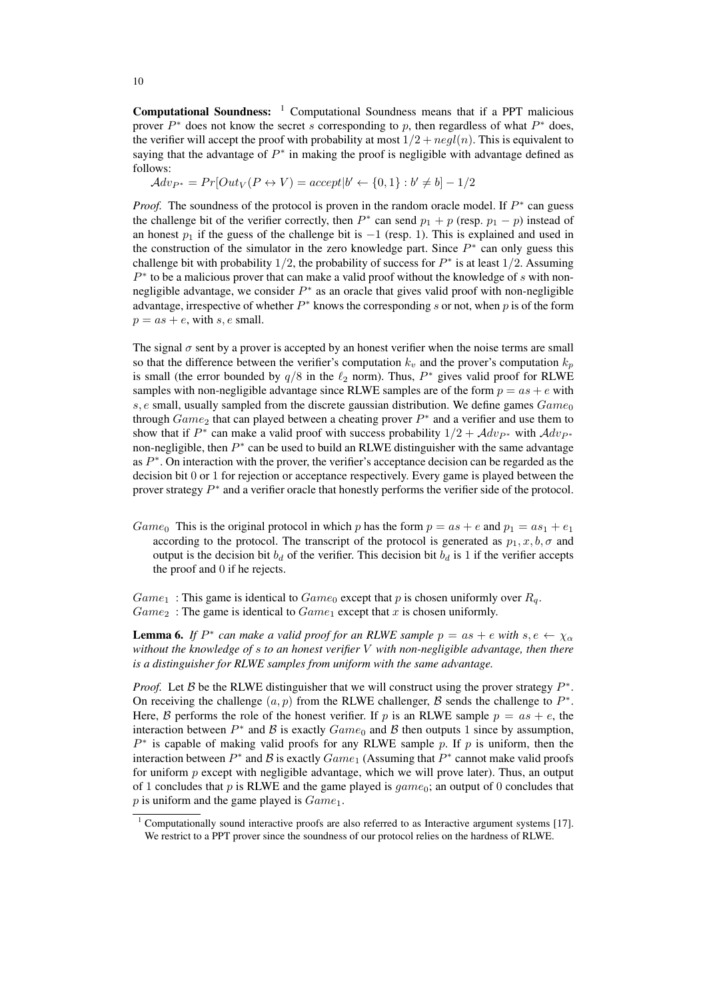Computational Soundness: [1](#page-9-0) Computational Soundness means that if a PPT malicious prover  $P^*$  does not know the secret s corresponding to p, then regardless of what  $P^*$  does, the verifier will accept the proof with probability at most  $1/2 + negl(n)$ . This is equivalent to saying that the advantage of  $P^*$  in making the proof is negligible with advantage defined as follows:

 $Adv_{P^*} = Pr[Out_V(P \leftrightarrow V) = accept | b' \leftarrow \{0, 1\} : b' \neq b] - 1/2$ 

*Proof.* The soundness of the protocol is proven in the random oracle model. If  $P^*$  can guess the challenge bit of the verifier correctly, then  $P^*$  can send  $p_1 + p$  (resp.  $p_1 - p$ ) instead of an honest  $p_1$  if the guess of the challenge bit is  $-1$  (resp. 1). This is explained and used in the construction of the simulator in the zero knowledge part. Since  $P^*$  can only guess this challenge bit with probability 1/2, the probability of success for  $P^*$  is at least 1/2. Assuming  $P^*$  to be a malicious prover that can make a valid proof without the knowledge of  $s$  with nonnegligible advantage, we consider  $P^*$  as an oracle that gives valid proof with non-negligible advantage, irrespective of whether  $P^*$  knows the corresponding s or not, when p is of the form  $p = as + e$ , with s, e small.

The signal  $\sigma$  sent by a prover is accepted by an honest verifier when the noise terms are small so that the difference between the verifier's computation  $k_v$  and the prover's computation  $k_p$ is small (the error bounded by  $q/8$  in the  $\ell_2$  norm). Thus,  $P^*$  gives valid proof for RLWE samples with non-negligible advantage since RLWE samples are of the form  $p = as + e$  with s,  $e$  small, usually sampled from the discrete gaussian distribution. We define games  $Game_0$ through  $Game_2$  that can played between a cheating prover  $P^*$  and a verifier and use them to show that if  $P^*$  can make a valid proof with success probability  $1/2 + \mathcal{A}dv_{P^*}$  with  $\mathcal{A}dv_{P^*}$ non-negligible, then  $P^*$  can be used to build an RLWE distinguisher with the same advantage as  $P^*$ . On interaction with the prover, the verifier's acceptance decision can be regarded as the decision bit 0 or 1 for rejection or acceptance respectively. Every game is played between the prover strategy  $P^*$  and a verifier oracle that honestly performs the verifier side of the protocol.

Game<sub>0</sub> This is the original protocol in which p has the form  $p = as + e$  and  $p_1 = as_1 + e_1$ according to the protocol. The transcript of the protocol is generated as  $p_1, x, b, \sigma$  and output is the decision bit  $b_d$  of the verifier. This decision bit  $b_d$  is 1 if the verifier accepts the proof and 0 if he rejects.

 $Game_1$ : This game is identical to  $Game_0$  except that p is chosen uniformly over  $R_q$ .  $Game_2$ : The game is identical to  $Game_1$  except that x is chosen uniformly.

**Lemma 6.** If  $P^*$  can make a valid proof for an RLWE sample  $p = as + e$  with  $s, e \leftarrow \chi_\alpha$ *without the knowledge of* s *to an honest verifier* V *with non-negligible advantage, then there is a distinguisher for RLWE samples from uniform with the same advantage.*

*Proof.* Let  $\beta$  be the RLWE distinguisher that we will construct using the prover strategy  $P^*$ . On receiving the challenge  $(a, p)$  from the RLWE challenger,  $\beta$  sends the challenge to  $P^*$ . Here, B performs the role of the honest verifier. If p is an RLWE sample  $p = as + e$ , the interaction between  $P^*$  and B is exactly  $Game_0$  and B then outputs 1 since by assumption,  $P^*$  is capable of making valid proofs for any RLWE sample p. If p is uniform, then the interaction between  $P^*$  and  $\mathcal B$  is exactly  $Game_1$  (Assuming that  $P^*$  cannot make valid proofs for uniform  $p$  except with negligible advantage, which we will prove later). Thus, an output of 1 concludes that p is RLWE and the game played is  $\eta = \eta$ ; an output of 0 concludes that  $p$  is uniform and the game played is  $Game_1$ .

<span id="page-9-0"></span><sup>1</sup> Computationally sound interactive proofs are also referred to as Interactive argument systems [\[17\]](#page-16-7). We restrict to a PPT prover since the soundness of our protocol relies on the hardness of RLWE.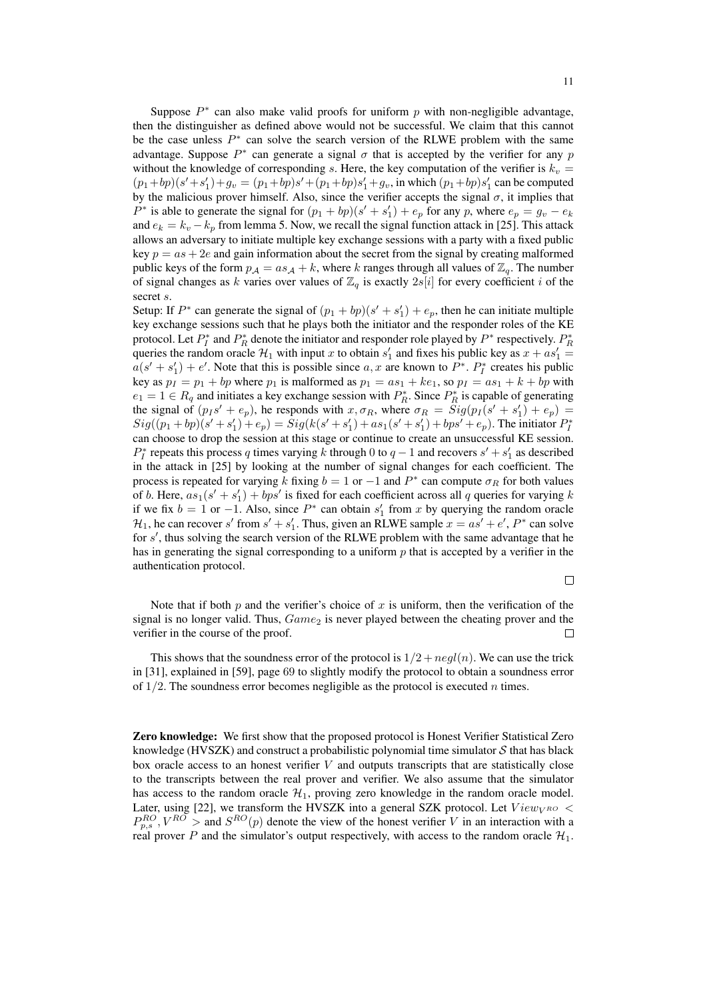Suppose  $P^*$  can also make valid proofs for uniform p with non-negligible advantage, then the distinguisher as defined above would not be successful. We claim that this cannot be the case unless  $P^*$  can solve the search version of the RLWE problem with the same advantage. Suppose  $P^*$  can generate a signal  $\sigma$  that is accepted by the verifier for any p without the knowledge of corresponding s. Here, the key computation of the verifier is  $k_v$  =  $(p_1+bp)(s'+s'_1)+g_v = (p_1+bp)s' + (p_1+bp)s'_1+g_v$ , in which  $(p_1+bp)s'_1$  can be computed by the malicious prover himself. Also, since the verifier accepts the signal  $\sigma$ , it implies that  $P^*$  is able to generate the signal for  $(p_1 + bp)(s' + s'_1) + e_p$  for any p, where  $e_p = g_v - e_k$ and  $e_k = k_v - k_p$  from lemma [5.](#page-8-1) Now, we recall the signal function attack in [\[25\]](#page-16-2). This attack allows an adversary to initiate multiple key exchange sessions with a party with a fixed public key  $p = as + 2e$  and gain information about the secret from the signal by creating malformed public keys of the form  $p_A = as_A + k$ , where k ranges through all values of  $\mathbb{Z}_q$ . The number of signal changes as k varies over values of  $\mathbb{Z}_q$  is exactly  $2s[i]$  for every coefficient i of the secret s.

Setup: If  $P^*$  can generate the signal of  $(p_1 + bp)(s' + s'_1) + e_p$ , then he can initiate multiple key exchange sessions such that he plays both the initiator and the responder roles of the KE protocol. Let  $P_I^*$  and  $P_R^*$  denote the initiator and responder role played by  $P^*$  respectively.  $P_R^*$ queries the random oracle  $\mathcal{H}_1$  with input x to obtain  $s'_1$  and fixes his public key as  $x + as'_1 =$  $a(s' + s'_1) + e'$ . Note that this is possible since a, x are known to  $P^*$ .  $P_I^*$  creates his public key as  $p_1 = p_1 + bp$  where  $p_1$  is malformed as  $p_1 = as_1 + ke_1$ , so  $p_1 = as_1 + k + bp$  with  $e_1 = 1 \in R_q$  and initiates a key exchange session with  $P_R^*$ . Since  $P_R^*$  is capable of generating the signal of  $(p_I s' + e_p)$ , he responds with  $x, \sigma_R$ , where  $\sigma_R = Sig(p_I(s' + s'_1) + e_p)$  $Sig((p_1 + bp)(s' + s'_1) + e_p) = Sig(k(s' + s'_1) + as_1(s' + s'_1) + bps' + e_p)$ . The initiator  $P_I^*$ can choose to drop the session at this stage or continue to create an unsuccessful KE session.  $P_I^*$  repeats this process q times varying k through 0 to  $q-1$  and recovers  $s' + s'_1$  as described in the attack in [\[25\]](#page-16-2) by looking at the number of signal changes for each coefficient. The process is repeated for varying k fixing  $b = 1$  or  $-1$  and  $P^*$  can compute  $\sigma_R$  for both values of b. Here,  $as_1(s' + s'_1) + bps'$  is fixed for each coefficient across all q queries for varying k if we fix  $b = 1$  or  $-1$ . Also, since  $P^*$  can obtain  $s'_1$  from x by querying the random oracle  $\mathcal{H}_1$ , he can recover s' from  $s' + s'_1$ . Thus, given an RLWE sample  $x = as' + e'$ ,  $P^*$  can solve for s', thus solving the search version of the RLWE problem with the same advantage that he has in generating the signal corresponding to a uniform  $p$  that is accepted by a verifier in the authentication protocol.

 $\Box$ 

Note that if both p and the verifier's choice of x is uniform, then the verification of the signal is no longer valid. Thus,  $Game_2$  is never played between the cheating prover and the verifier in the course of the proof.  $\Box$ 

This shows that the soundness error of the protocol is  $1/2 + negl(n)$ . We can use the trick in [\[31\]](#page-16-8), explained in [\[59\]](#page-18-6), page 69 to slightly modify the protocol to obtain a soundness error of  $1/2$ . The soundness error becomes negligible as the protocol is executed *n* times.

Zero knowledge: We first show that the proposed protocol is Honest Verifier Statistical Zero knowledge (HVSZK) and construct a probabilistic polynomial time simulator  $S$  that has black box oracle access to an honest verifier  $V$  and outputs transcripts that are statistically close to the transcripts between the real prover and verifier. We also assume that the simulator has access to the random oracle  $\mathcal{H}_1$ , proving zero knowledge in the random oracle model. Later, using [\[22\]](#page-16-9), we transform the HVSZK into a general SZK protocol. Let  $View_{V^{RO}}$  <  $P_{p,s}^{RO}$ ,  $V^{RO}$  > and  $S^{RO}(p)$  denote the view of the honest verifier V in an interaction with a real prover P and the simulator's output respectively, with access to the random oracle  $\mathcal{H}_1$ .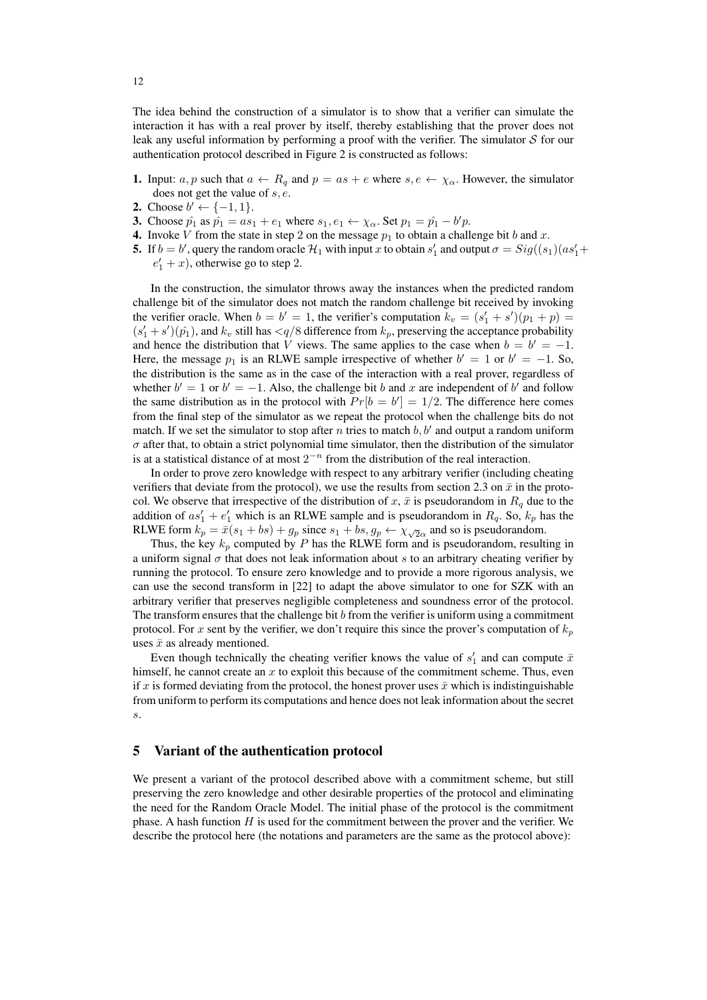The idea behind the construction of a simulator is to show that a verifier can simulate the interaction it has with a real prover by itself, thereby establishing that the prover does not leak any useful information by performing a proof with the verifier. The simulator  $S$  for our authentication protocol described in Figure [2](#page-8-0) is constructed as follows:

- 1. Input:  $a, p$  such that  $a \leftarrow R_q$  and  $p = as + e$  where  $s, e \leftarrow \chi_\alpha$ . However, the simulator does not get the value of s, e.
- 2. Choose  $b' \leftarrow \{-1, 1\}.$
- 3. Choose  $\hat{p}_1$  as  $\hat{p}_1 = as_1 + e_1$  where  $s_1, e_1 \leftarrow \chi_\alpha$ . Set  $p_1 = \hat{p}_1 b'p$ .
- 4. Invoke V from the state in step 2 on the message  $p_1$  to obtain a challenge bit b and x.
- **5.** If  $b = b'$ , query the random oracle  $\mathcal{H}_1$  with input x to obtain  $s'_1$  and output  $\sigma = Sig((s_1)(as'_1 +$  $e'_1 + x$ ), otherwise go to step 2.

In the construction, the simulator throws away the instances when the predicted random challenge bit of the simulator does not match the random challenge bit received by invoking the verifier oracle. When  $b = b' = 1$ , the verifier's computation  $k_v = (s'_1 + s')(p_1 + p)$  $(s'_1 + s')(\hat{p}_1)$ , and  $k_v$  still has  $\langle q/8$  difference from  $k_p$ , preserving the acceptance probability and hence the distribution that V views. The same applies to the case when  $b = b' = -1$ . Here, the message  $p_1$  is an RLWE sample irrespective of whether  $b' = 1$  or  $b' = -1$ . So, the distribution is the same as in the case of the interaction with a real prover, regardless of whether  $b' = 1$  or  $b' = -1$ . Also, the challenge bit b and x are independent of b' and follow the same distribution as in the protocol with  $Pr[b = b'] = 1/2$ . The difference here comes from the final step of the simulator as we repeat the protocol when the challenge bits do not match. If we set the simulator to stop after n tries to match  $b, b'$  and output a random uniform  $\sigma$  after that, to obtain a strict polynomial time simulator, then the distribution of the simulator is at a statistical distance of at most  $2^{-n}$  from the distribution of the real interaction.

In order to prove zero knowledge with respect to any arbitrary verifier (including cheating verifiers that deviate from the protocol), we use the results from section [2.3](#page-5-0) on  $\bar{x}$  in the protocol. We observe that irrespective of the distribution of x,  $\bar{x}$  is pseudorandom in  $R_q$  due to the addition of  $as'_1 + e'_1$  which is an RLWE sample and is pseudorandom in  $R_q$ . So,  $k_p$  has the RLWE form  $k_p = \bar{x}(s_1 + bs) + g_p$  since  $s_1 + bs$ ,  $g_p \leftarrow \chi_{\sqrt{2}\alpha}$  and so is pseudorandom.

Thus, the key  $k_p$  computed by P has the RLWE form and is pseudorandom, resulting in a uniform signal  $\sigma$  that does not leak information about s to an arbitrary cheating verifier by running the protocol. To ensure zero knowledge and to provide a more rigorous analysis, we can use the second transform in [\[22\]](#page-16-9) to adapt the above simulator to one for SZK with an arbitrary verifier that preserves negligible completeness and soundness error of the protocol. The transform ensures that the challenge bit  $b$  from the verifier is uniform using a commitment protocol. For x sent by the verifier, we don't require this since the prover's computation of  $k_p$ uses  $\bar{x}$  as already mentioned.

Even though technically the cheating verifier knows the value of  $s'_1$  and can compute  $\bar{x}$ himself, he cannot create an x to exploit this because of the commitment scheme. Thus, even if x is formed deviating from the protocol, the honest prover uses  $\bar{x}$  which is indistinguishable from uniform to perform its computations and hence does not leak information about the secret s.

## <span id="page-11-0"></span>5 Variant of the authentication protocol

We present a variant of the protocol described above with a commitment scheme, but still preserving the zero knowledge and other desirable properties of the protocol and eliminating the need for the Random Oracle Model. The initial phase of the protocol is the commitment phase. A hash function  $H$  is used for the commitment between the prover and the verifier. We describe the protocol here (the notations and parameters are the same as the protocol above):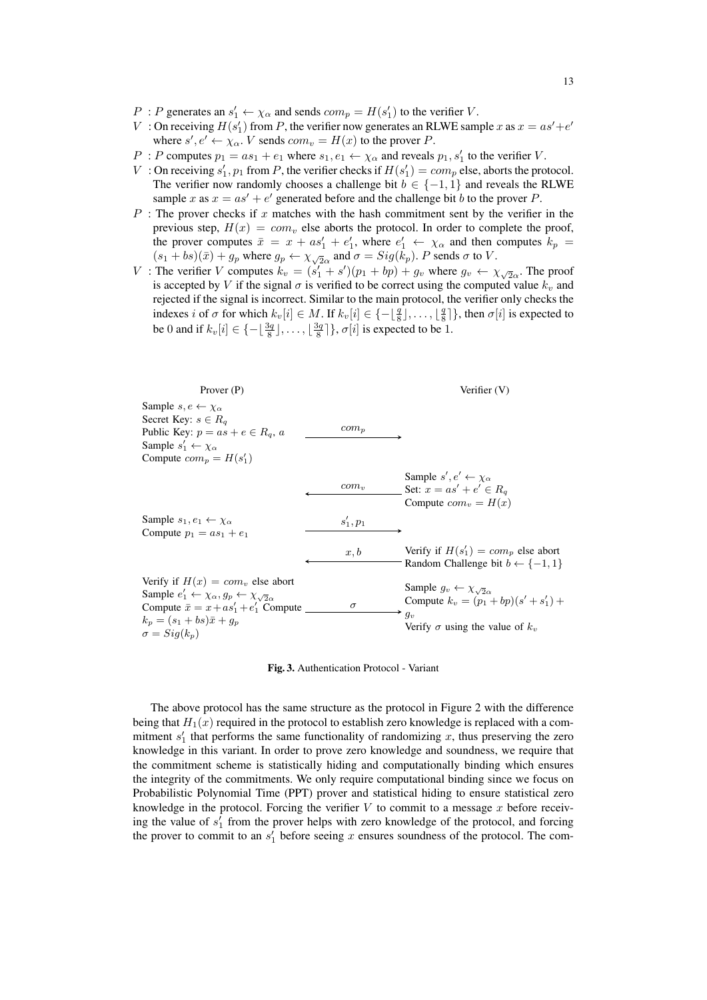- $P : P$  generates an  $s'_1 \leftarrow \chi_\alpha$  and sends  $com_p = H(s'_1)$  to the verifier V.
- V: On receiving  $H(s'_1)$  from P, the verifier now generates an RLWE sample x as  $x = as' + e'$ where  $s', e' \leftarrow \chi_{\alpha}$ . V sends  $com_v = H(x)$  to the prover P.
- P : P computes  $p_1 = as_1 + e_1$  where  $s_1, e_1 \leftarrow \chi_\alpha$  and reveals  $p_1, s'_1$  to the verifier V.
- V: On receiving  $s'_1$ ,  $p_1$  from P, the verifier checks if  $H(s'_1) = com_p$  else, aborts the protocol. The verifier now randomly chooses a challenge bit  $b \in \{-1, 1\}$  and reveals the RLWE sample x as  $x = as' + e'$  generated before and the challenge bit b to the prover P.
- $P$ : The prover checks if x matches with the hash commitment sent by the verifier in the previous step,  $H(x) = com_v$  else aborts the protocol. In order to complete the proof, the prover computes  $\bar{x} = x + as'_1 + e'_1$ , where  $e'_1 \leftarrow \chi_\alpha$  and then computes  $k_p =$  $(s_1 + bs)(\bar{x}) + g_p$  where  $g_p \leftarrow \chi_{\sqrt{2}\alpha}$  and  $\sigma = Sig(k_p)$ . P sends  $\sigma$  to V.
- V: The verifier V computes  $k_v = (s'_1 + s')(p_1 + bp) + g_v$  where  $g_v \leftarrow \chi_{\sqrt{2}\alpha}$ . The proof is accepted by V if the signal  $\sigma$  is verified to be correct using the computed value  $k_v$  and rejected if the signal is incorrect. Similar to the main protocol, the verifier only checks the indexes i of  $\sigma$  for which  $k_v[i] \in M$ . If  $k_v[i] \in \{-\lfloor \frac{q}{8} \rfloor, \dots, \lfloor \frac{q}{8} \rfloor\}$ , then  $\sigma[i]$  is expected to be 0 and if  $k_v[i] \in \{-\lfloor \frac{3q}{8} \rfloor, \dots, \lfloor \frac{3q}{8} \rfloor\}, \sigma[i]$  is expected to be 1.

| Prover (P)                                                                                                                                                                                                                  |             | Verifier (V)                                                                                                                                  |
|-----------------------------------------------------------------------------------------------------------------------------------------------------------------------------------------------------------------------------|-------------|-----------------------------------------------------------------------------------------------------------------------------------------------|
| Sample $s, e \leftarrow \chi_{\alpha}$<br>Secret Key: $s \in R_a$<br>Public Key: $p = as + e \in R_q$ , a<br>Sample $s'_1 \leftarrow \chi_\alpha$<br>Compute $com_n = H(s'_1)$                                              | $com_p$     |                                                                                                                                               |
|                                                                                                                                                                                                                             | $com_v$     | Sample $s', e' \leftarrow \chi_{\alpha}$<br>Set: $x = as' + e' \in R_a$<br>Compute $com_v = H(x)$                                             |
| Sample $s_1, e_1 \leftarrow \chi_\alpha$<br>Compute $p_1 = as_1 + e_1$                                                                                                                                                      | $s'_1, p_1$ |                                                                                                                                               |
|                                                                                                                                                                                                                             | x, b        | Verify if $H(s'_1) = com_p$ else abort<br>Random Challenge bit $b \leftarrow \{-1, 1\}$                                                       |
| Verify if $H(x) = com_v$ else abort<br>Sample $e'_1 \leftarrow \chi_\alpha, g_p \leftarrow \chi_{\sqrt{2}\alpha}$<br>Compute $\bar{x} = x + as'_1 + e'_1$ Compute<br>$k_n = (s_1 + bs)\bar{x} + q_n$<br>$\sigma = Sig(k_n)$ | $\sigma$    | Sample $g_v \leftarrow \chi_{\sqrt{2}\alpha}$<br>Compute $k_v = (p_1 + bp)(s' + s'_1) +$<br>$g_v$<br>Verify $\sigma$ using the value of $k_v$ |

<span id="page-12-0"></span>Fig. 3. Authentication Protocol - Variant

The above protocol has the same structure as the protocol in Figure [2](#page-8-0) with the difference being that  $H_1(x)$  required in the protocol to establish zero knowledge is replaced with a commitment  $s'_1$  that performs the same functionality of randomizing x, thus preserving the zero knowledge in this variant. In order to prove zero knowledge and soundness, we require that the commitment scheme is statistically hiding and computationally binding which ensures the integrity of the commitments. We only require computational binding since we focus on Probabilistic Polynomial Time (PPT) prover and statistical hiding to ensure statistical zero knowledge in the protocol. Forcing the verifier  $V$  to commit to a message  $x$  before receiving the value of  $s'_1$  from the prover helps with zero knowledge of the protocol, and forcing the prover to commit to an  $s'_1$  before seeing x ensures soundness of the protocol. The com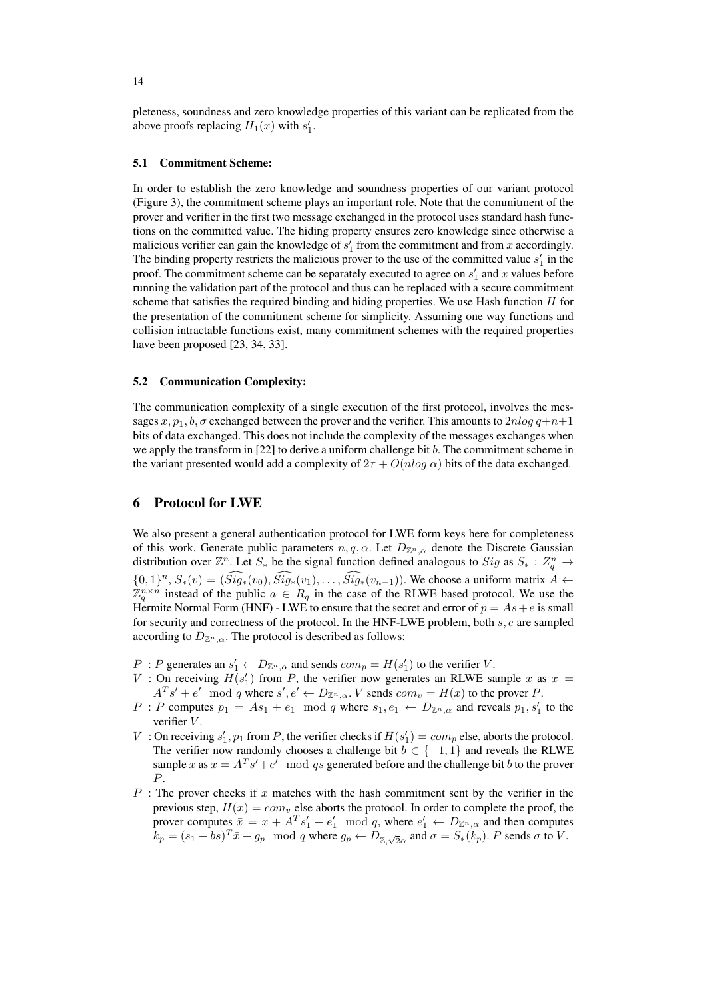pleteness, soundness and zero knowledge properties of this variant can be replicated from the above proofs replacing  $H_1(x)$  with  $s'_1$ .

#### 5.1 Commitment Scheme:

In order to establish the zero knowledge and soundness properties of our variant protocol (Figure [3\)](#page-12-0), the commitment scheme plays an important role. Note that the commitment of the prover and verifier in the first two message exchanged in the protocol uses standard hash functions on the committed value. The hiding property ensures zero knowledge since otherwise a malicious verifier can gain the knowledge of  $s'_1$  from the commitment and from x accordingly. The binding property restricts the malicious prover to the use of the committed value  $s'_1$  in the proof. The commitment scheme can be separately executed to agree on  $s'_1$  and x values before running the validation part of the protocol and thus can be replaced with a secure commitment scheme that satisfies the required binding and hiding properties. We use Hash function H for the presentation of the commitment scheme for simplicity. Assuming one way functions and collision intractable functions exist, many commitment schemes with the required properties have been proposed [\[23,](#page-16-10) [34,](#page-16-11) [33\]](#page-16-12).

#### 5.2 Communication Complexity:

The communication complexity of a single execution of the first protocol, involves the messages x,  $p_1$ , b,  $\sigma$  exchanged between the prover and the verifier. This amounts to  $2nlog q+n+1$ bits of data exchanged. This does not include the complexity of the messages exchanges when we apply the transform in  $[22]$  to derive a uniform challenge bit b. The commitment scheme in the variant presented would add a complexity of  $2\tau + O(n \log \alpha)$  bits of the data exchanged.

# 6 Protocol for LWE

We also present a general authentication protocol for LWE form keys here for completeness of this work. Generate public parameters  $n, q, \alpha$ . Let  $D_{\mathbb{Z}^n,\alpha}$  denote the Discrete Gaussian distribution over  $\mathbb{Z}^n$ . Let  $S_*$  be the signal function defined analogous to  $Sig$  as  $S_* : Z_q^n \to Z_q^n$  ${0, 1}^n$ ,  $S_*(v) = (\tilde{Sig}_*(v_0), \tilde{Sig}_*(v_1), \ldots, \tilde{Sig}_*(v_{n-1}))$ . We choose a uniform matrix  $A \leftarrow$  $\mathbb{Z}_q^{n \times n}$  instead of the public  $a \in R_q$  in the case of the RLWE based protocol. We use the Hermite Normal Form (HNF) - LWE to ensure that the secret and error of  $p = As + e$  is small for security and correctness of the protocol. In the HNF-LWE problem, both s, e are sampled according to  $D_{\mathbb{Z}^n,\alpha}$ . The protocol is described as follows:

- $P : P$  generates an  $s'_1 \leftarrow D_{\mathbb{Z}^n,\alpha}$  and sends  $com_p = H(s'_1)$  to the verifier V.
- V: On receiving  $H(s'_1)$  from P, the verifier now generates an RLWE sample x as  $x =$  $A^T s' + e' \mod q$  where  $s', e' \leftarrow D_{\mathbb{Z}^n, \alpha}$ . V sends  $com_v = H(x)$  to the prover P.
- P : P computes  $p_1 = As_1 + e_1 \mod q$  where  $s_1, e_1 \leftarrow D_{\mathbb{Z}^n, \alpha}$  and reveals  $p_1, s'_1$  to the verifier  $V$ .
- V: On receiving  $s'_1$ ,  $p_1$  from P, the verifier checks if  $H(s'_1) = com_p$  else, aborts the protocol. The verifier now randomly chooses a challenge bit  $b \in \{-1, 1\}$  and reveals the RLWE sample x as  $x = A^T s' + e' \mod qs$  generated before and the challenge bit b to the prover P.
- $P$ : The prover checks if x matches with the hash commitment sent by the verifier in the previous step,  $H(x) = com_v$  else aborts the protocol. In order to complete the proof, the prover computes  $\bar{x} = x + A^T s_1' + e_1' \mod q$ , where  $e_1' \leftarrow D_{\mathbb{Z}^n, \alpha}$  and then computes  $k_p = (s_1 + bs)^T \bar{x} + g_p \mod q$  where  $g_p \leftarrow D_{\mathbb{Z}, \sqrt{2}\alpha}$  and  $\sigma = S_*(k_p)$ . P sends  $\sigma$  to V.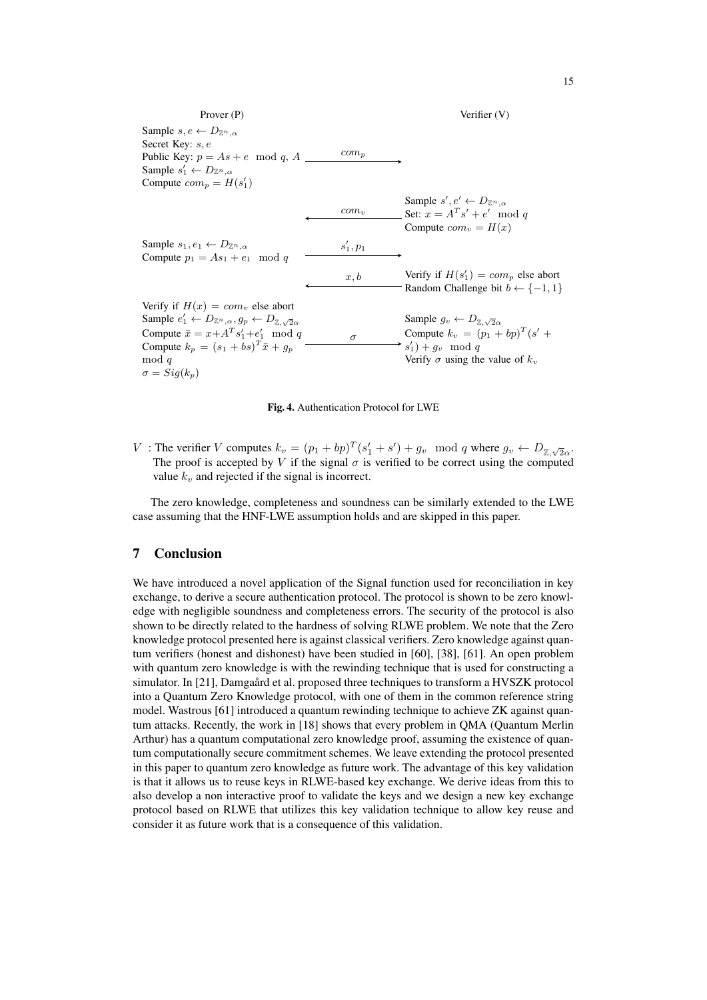

Fig. 4. Authentication Protocol for LWE

V: The verifier V computes  $k_v = (p_1 + bp)^T (s'_1 + s') + g_v \mod q$  where  $g_v \leftarrow D_{\mathbb{Z}, \sqrt{2}\alpha}$ . The proof is accepted by V if the signal  $\sigma$  is verified to be correct using the computed value  $k_v$  and rejected if the signal is incorrect.

The zero knowledge, completeness and soundness can be similarly extended to the LWE case assuming that the HNF-LWE assumption holds and are skipped in this paper.

# 7 Conclusion

We have introduced a novel application of the Signal function used for reconciliation in key exchange, to derive a secure authentication protocol. The protocol is shown to be zero knowledge with negligible soundness and completeness errors. The security of the protocol is also shown to be directly related to the hardness of solving RLWE problem. We note that the Zero knowledge protocol presented here is against classical verifiers. Zero knowledge against quantum verifiers (honest and dishonest) have been studied in [\[60\]](#page-18-7), [\[38\]](#page-17-16), [\[61\]](#page-18-8). An open problem with quantum zero knowledge is with the rewinding technique that is used for constructing a simulator. In [\[21\]](#page-16-13), Damgaård et al. proposed three techniques to transform a HVSZK protocol into a Quantum Zero Knowledge protocol, with one of them in the common reference string model. Wastrous [\[61\]](#page-18-8) introduced a quantum rewinding technique to achieve ZK against quantum attacks. Recently, the work in [\[18\]](#page-16-14) shows that every problem in QMA (Quantum Merlin Arthur) has a quantum computational zero knowledge proof, assuming the existence of quantum computationally secure commitment schemes. We leave extending the protocol presented in this paper to quantum zero knowledge as future work. The advantage of this key validation is that it allows us to reuse keys in RLWE-based key exchange. We derive ideas from this to also develop a non interactive proof to validate the keys and we design a new key exchange protocol based on RLWE that utilizes this key validation technique to allow key reuse and consider it as future work that is a consequence of this validation.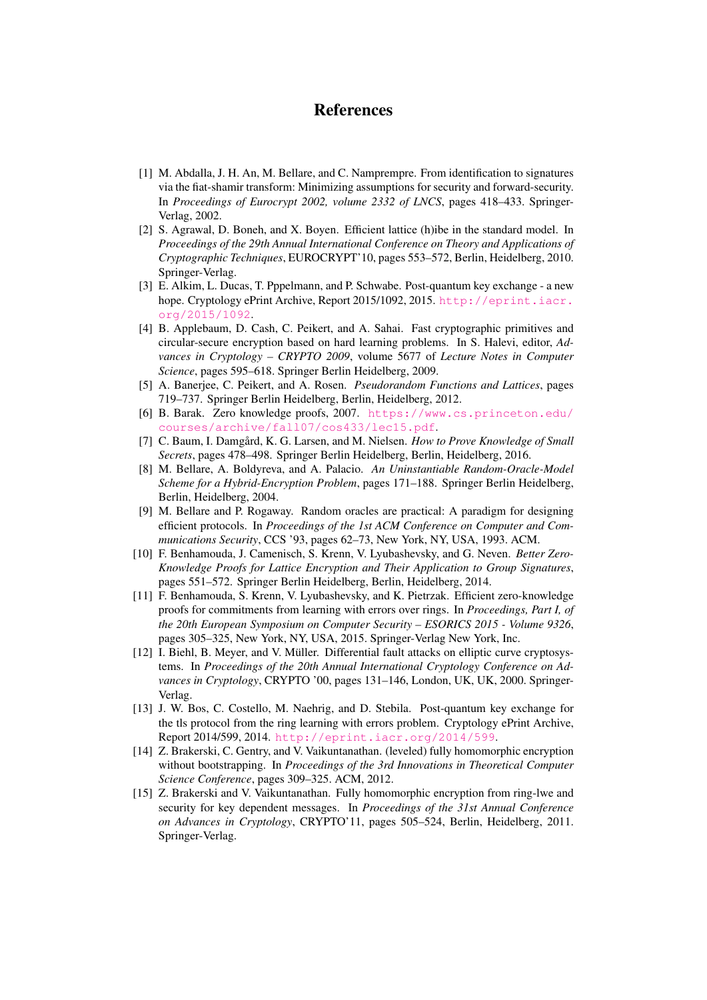# References

- <span id="page-15-2"></span>[1] M. Abdalla, J. H. An, M. Bellare, and C. Namprempre. From identification to signatures via the fiat-shamir transform: Minimizing assumptions for security and forward-security. In *Proceedings of Eurocrypt 2002, volume 2332 of LNCS*, pages 418–433. Springer-Verlag, 2002.
- <span id="page-15-6"></span>[2] S. Agrawal, D. Boneh, and X. Boyen. Efficient lattice (h)ibe in the standard model. In *Proceedings of the 29th Annual International Conference on Theory and Applications of Cryptographic Techniques*, EUROCRYPT'10, pages 553–572, Berlin, Heidelberg, 2010. Springer-Verlag.
- [3] E. Alkim, L. Ducas, T. Pppelmann, and P. Schwabe. Post-quantum key exchange a new hope. Cryptology ePrint Archive, Report 2015/1092, 2015. [http://eprint.iacr.](http://eprint.iacr.org/2015/1092) [org/2015/1092](http://eprint.iacr.org/2015/1092).
- <span id="page-15-7"></span>[4] B. Applebaum, D. Cash, C. Peikert, and A. Sahai. Fast cryptographic primitives and circular-secure encryption based on hard learning problems. In S. Halevi, editor, *Advances in Cryptology – CRYPTO 2009*, volume 5677 of *Lecture Notes in Computer Science*, pages 595–618. Springer Berlin Heidelberg, 2009.
- [5] A. Banerjee, C. Peikert, and A. Rosen. *Pseudorandom Functions and Lattices*, pages 719–737. Springer Berlin Heidelberg, Berlin, Heidelberg, 2012.
- <span id="page-15-9"></span>[6] B. Barak. Zero knowledge proofs, 2007. [https://www.cs.princeton.edu/](https://www.cs.princeton.edu/courses/archive/fall07/cos433/lec15.pdf) [courses/archive/fall07/cos433/lec15.pdf](https://www.cs.princeton.edu/courses/archive/fall07/cos433/lec15.pdf).
- <span id="page-15-1"></span>[7] C. Baum, I. Damgård, K. G. Larsen, and M. Nielsen. *How to Prove Knowledge of Small Secrets*, pages 478–498. Springer Berlin Heidelberg, Berlin, Heidelberg, 2016.
- <span id="page-15-11"></span>[8] M. Bellare, A. Boldyreva, and A. Palacio. *An Uninstantiable Random-Oracle-Model Scheme for a Hybrid-Encryption Problem*, pages 171–188. Springer Berlin Heidelberg, Berlin, Heidelberg, 2004.
- <span id="page-15-10"></span>[9] M. Bellare and P. Rogaway. Random oracles are practical: A paradigm for designing efficient protocols. In *Proceedings of the 1st ACM Conference on Computer and Communications Security*, CCS '93, pages 62–73, New York, NY, USA, 1993. ACM.
- <span id="page-15-0"></span>[10] F. Benhamouda, J. Camenisch, S. Krenn, V. Lyubashevsky, and G. Neven. *Better Zero-Knowledge Proofs for Lattice Encryption and Their Application to Group Signatures*, pages 551–572. Springer Berlin Heidelberg, Berlin, Heidelberg, 2014.
- <span id="page-15-3"></span>[11] F. Benhamouda, S. Krenn, V. Lyubashevsky, and K. Pietrzak. Efficient zero-knowledge proofs for commitments from learning with errors over rings. In *Proceedings, Part I, of the 20th European Symposium on Computer Security – ESORICS 2015 - Volume 9326*, pages 305–325, New York, NY, USA, 2015. Springer-Verlag New York, Inc.
- <span id="page-15-4"></span>[12] I. Biehl, B. Meyer, and V. Müller. Differential fault attacks on elliptic curve cryptosystems. In *Proceedings of the 20th Annual International Cryptology Conference on Advances in Cryptology*, CRYPTO '00, pages 131–146, London, UK, UK, 2000. Springer-Verlag.
- [13] J. W. Bos, C. Costello, M. Naehrig, and D. Stebila. Post-quantum key exchange for the tls protocol from the ring learning with errors problem. Cryptology ePrint Archive, Report 2014/599, 2014. <http://eprint.iacr.org/2014/599>.
- <span id="page-15-8"></span>[14] Z. Brakerski, C. Gentry, and V. Vaikuntanathan. (leveled) fully homomorphic encryption without bootstrapping. In *Proceedings of the 3rd Innovations in Theoretical Computer Science Conference*, pages 309–325. ACM, 2012.
- <span id="page-15-5"></span>[15] Z. Brakerski and V. Vaikuntanathan. Fully homomorphic encryption from ring-lwe and security for key dependent messages. In *Proceedings of the 31st Annual Conference on Advances in Cryptology*, CRYPTO'11, pages 505–524, Berlin, Heidelberg, 2011. Springer-Verlag.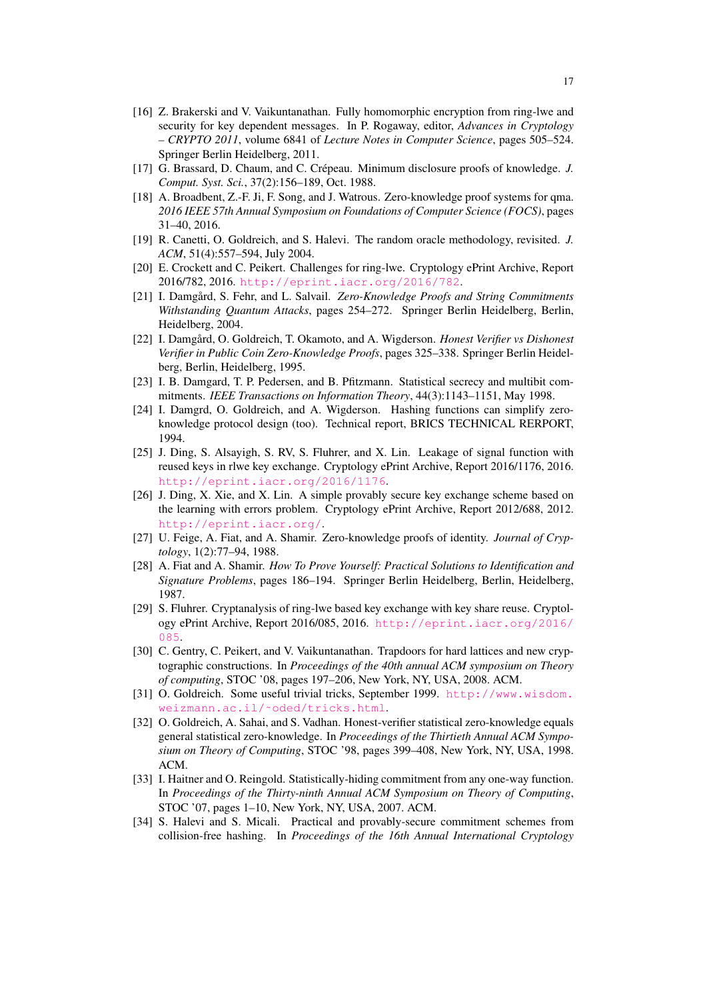- <span id="page-16-5"></span>[16] Z. Brakerski and V. Vaikuntanathan. Fully homomorphic encryption from ring-lwe and security for key dependent messages. In P. Rogaway, editor, *Advances in Cryptology – CRYPTO 2011*, volume 6841 of *Lecture Notes in Computer Science*, pages 505–524. Springer Berlin Heidelberg, 2011.
- <span id="page-16-7"></span>[17] G. Brassard, D. Chaum, and C. Crépeau. Minimum disclosure proofs of knowledge. J. *Comput. Syst. Sci.*, 37(2):156–189, Oct. 1988.
- <span id="page-16-14"></span>[18] A. Broadbent, Z.-F. Ji, F. Song, and J. Watrous. Zero-knowledge proof systems for qma. *2016 IEEE 57th Annual Symposium on Foundations of Computer Science (FOCS)*, pages 31–40, 2016.
- <span id="page-16-6"></span>[19] R. Canetti, O. Goldreich, and S. Halevi. The random oracle methodology, revisited. *J. ACM*, 51(4):557–594, July 2004.
- <span id="page-16-3"></span>[20] E. Crockett and C. Peikert. Challenges for ring-lwe. Cryptology ePrint Archive, Report 2016/782, 2016. <http://eprint.iacr.org/2016/782>.
- <span id="page-16-13"></span>[21] I. Damgård, S. Fehr, and L. Salvail. *Zero-Knowledge Proofs and String Commitments Withstanding Quantum Attacks*, pages 254–272. Springer Berlin Heidelberg, Berlin, Heidelberg, 2004.
- <span id="page-16-9"></span>[22] I. Damgård, O. Goldreich, T. Okamoto, and A. Wigderson. *Honest Verifier vs Dishonest Verifier in Public Coin Zero-Knowledge Proofs*, pages 325–338. Springer Berlin Heidelberg, Berlin, Heidelberg, 1995.
- <span id="page-16-10"></span>[23] I. B. Damgard, T. P. Pedersen, and B. Pfitzmann. Statistical secrecy and multibit commitments. *IEEE Transactions on Information Theory*, 44(3):1143–1151, May 1998.
- [24] I. Damgrd, O. Goldreich, and A. Wigderson. Hashing functions can simplify zeroknowledge protocol design (too). Technical report, BRICS TECHNICAL RERPORT, 1994.
- <span id="page-16-2"></span>[25] J. Ding, S. Alsayigh, S. RV, S. Fluhrer, and X. Lin. Leakage of signal function with reused keys in rlwe key exchange. Cryptology ePrint Archive, Report 2016/1176, 2016. <http://eprint.iacr.org/2016/1176>.
- <span id="page-16-0"></span>[26] J. Ding, X. Xie, and X. Lin. A simple provably secure key exchange scheme based on the learning with errors problem. Cryptology ePrint Archive, Report 2012/688, 2012. <http://eprint.iacr.org/>.
- [27] U. Feige, A. Fiat, and A. Shamir. Zero-knowledge proofs of identity. *Journal of Cryptology*, 1(2):77–94, 1988.
- [28] A. Fiat and A. Shamir. *How To Prove Yourself: Practical Solutions to Identification and Signature Problems*, pages 186–194. Springer Berlin Heidelberg, Berlin, Heidelberg, 1987.
- <span id="page-16-1"></span>[29] S. Fluhrer. Cryptanalysis of ring-lwe based key exchange with key share reuse. Cryptology ePrint Archive, Report 2016/085, 2016. [http://eprint.iacr.org/2016/](http://eprint.iacr.org/2016/085) [085](http://eprint.iacr.org/2016/085).
- <span id="page-16-4"></span>[30] C. Gentry, C. Peikert, and V. Vaikuntanathan. Trapdoors for hard lattices and new cryptographic constructions. In *Proceedings of the 40th annual ACM symposium on Theory of computing*, STOC '08, pages 197–206, New York, NY, USA, 2008. ACM.
- <span id="page-16-8"></span>[31] O. Goldreich. Some useful trivial tricks, September 1999. [http://www.wisdom.](http://www.wisdom.weizmann.ac.il/~oded/tricks.html) [weizmann.ac.il/˜oded/tricks.html](http://www.wisdom.weizmann.ac.il/~oded/tricks.html).
- [32] O. Goldreich, A. Sahai, and S. Vadhan. Honest-verifier statistical zero-knowledge equals general statistical zero-knowledge. In *Proceedings of the Thirtieth Annual ACM Symposium on Theory of Computing*, STOC '98, pages 399–408, New York, NY, USA, 1998. ACM.
- <span id="page-16-12"></span>[33] I. Haitner and O. Reingold. Statistically-hiding commitment from any one-way function. In *Proceedings of the Thirty-ninth Annual ACM Symposium on Theory of Computing*, STOC '07, pages 1–10, New York, NY, USA, 2007. ACM.
- <span id="page-16-11"></span>[34] S. Halevi and S. Micali. Practical and provably-secure commitment schemes from collision-free hashing. In *Proceedings of the 16th Annual International Cryptology*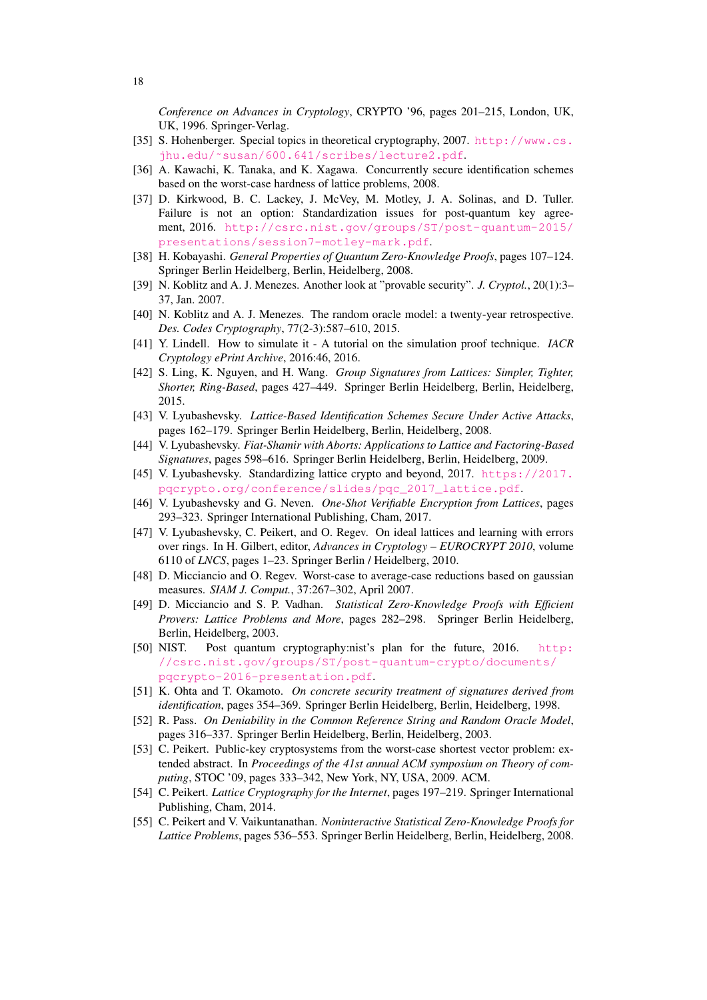*Conference on Advances in Cryptology*, CRYPTO '96, pages 201–215, London, UK, UK, 1996. Springer-Verlag.

- <span id="page-17-12"></span>[35] S. Hohenberger. Special topics in theoretical cryptography, 2007. [http://www.cs.](http://www.cs.jhu.edu/~susan/600.641/scribes/lecture2.pdf) [jhu.edu/˜susan/600.641/scribes/lecture2.pdf](http://www.cs.jhu.edu/~susan/600.641/scribes/lecture2.pdf).
- <span id="page-17-7"></span>[36] A. Kawachi, K. Tanaka, and K. Xagawa. Concurrently secure identification schemes based on the worst-case hardness of lattice problems, 2008.
- <span id="page-17-1"></span>[37] D. Kirkwood, B. C. Lackey, J. McVey, M. Motley, J. A. Solinas, and D. Tuller. Failure is not an option: Standardization issues for post-quantum key agreement, 2016. [http://csrc.nist.gov/groups/ST/post-quantum-2015/](http://csrc.nist.gov/groups/ST/post-quantum-2015/presentations/session7-motley-mark.pdf) [presentations/session7-motley-mark.pdf](http://csrc.nist.gov/groups/ST/post-quantum-2015/presentations/session7-motley-mark.pdf).
- <span id="page-17-16"></span>[38] H. Kobayashi. *General Properties of Quantum Zero-Knowledge Proofs*, pages 107–124. Springer Berlin Heidelberg, Berlin, Heidelberg, 2008.
- <span id="page-17-14"></span>[39] N. Koblitz and A. J. Menezes. Another look at "provable security". *J. Cryptol.*, 20(1):3– 37, Jan. 2007.
- <span id="page-17-13"></span>[40] N. Koblitz and A. J. Menezes. The random oracle model: a twenty-year retrospective. *Des. Codes Cryptography*, 77(2-3):587–610, 2015.
- [41] Y. Lindell. How to simulate it A tutorial on the simulation proof technique. *IACR Cryptology ePrint Archive*, 2016:46, 2016.
- <span id="page-17-4"></span>[42] S. Ling, K. Nguyen, and H. Wang. *Group Signatures from Lattices: Simpler, Tighter, Shorter, Ring-Based*, pages 427–449. Springer Berlin Heidelberg, Berlin, Heidelberg, 2015.
- <span id="page-17-5"></span>[43] V. Lyubashevsky. *Lattice-Based Identification Schemes Secure Under Active Attacks*, pages 162–179. Springer Berlin Heidelberg, Berlin, Heidelberg, 2008.
- <span id="page-17-6"></span>[44] V. Lyubashevsky. *Fiat-Shamir with Aborts: Applications to Lattice and Factoring-Based Signatures*, pages 598–616. Springer Berlin Heidelberg, Berlin, Heidelberg, 2009.
- <span id="page-17-2"></span>[45] V. Lyubashevsky. Standardizing lattice crypto and beyond, 2017. [https://2017.](https://2017.pqcrypto.org/conference/slides/pqc_2017_lattice.pdf) [pqcrypto.org/conference/slides/pqc\\_2017\\_lattice.pdf](https://2017.pqcrypto.org/conference/slides/pqc_2017_lattice.pdf).
- <span id="page-17-3"></span>[46] V. Lyubashevsky and G. Neven. *One-Shot Verifiable Encryption from Lattices*, pages 293–323. Springer International Publishing, Cham, 2017.
- <span id="page-17-10"></span>[47] V. Lyubashevsky, C. Peikert, and O. Regev. On ideal lattices and learning with errors over rings. In H. Gilbert, editor, *Advances in Cryptology – EUROCRYPT 2010*, volume 6110 of *LNCS*, pages 1–23. Springer Berlin / Heidelberg, 2010.
- <span id="page-17-11"></span>[48] D. Micciancio and O. Regev. Worst-case to average-case reductions based on gaussian measures. *SIAM J. Comput.*, 37:267–302, April 2007.
- [49] D. Micciancio and S. P. Vadhan. *Statistical Zero-Knowledge Proofs with Efficient Provers: Lattice Problems and More*, pages 282–298. Springer Berlin Heidelberg, Berlin, Heidelberg, 2003.
- <span id="page-17-0"></span>[50] NIST. Post quantum cryptography:nist's plan for the future, 2016. [http:](http://csrc.nist.gov/groups/ST/post-quantum-crypto/documents/pqcrypto-2016-presentation.pdf) [//csrc.nist.gov/groups/ST/post-quantum-crypto/documents/](http://csrc.nist.gov/groups/ST/post-quantum-crypto/documents/pqcrypto-2016-presentation.pdf) [pqcrypto-2016-presentation.pdf](http://csrc.nist.gov/groups/ST/post-quantum-crypto/documents/pqcrypto-2016-presentation.pdf).
- [51] K. Ohta and T. Okamoto. *On concrete security treatment of signatures derived from identification*, pages 354–369. Springer Berlin Heidelberg, Berlin, Heidelberg, 1998.
- <span id="page-17-15"></span>[52] R. Pass. *On Deniability in the Common Reference String and Random Oracle Model*, pages 316–337. Springer Berlin Heidelberg, Berlin, Heidelberg, 2003.
- <span id="page-17-9"></span>[53] C. Peikert. Public-key cryptosystems from the worst-case shortest vector problem: extended abstract. In *Proceedings of the 41st annual ACM symposium on Theory of computing*, STOC '09, pages 333–342, New York, NY, USA, 2009. ACM.
- <span id="page-17-8"></span>[54] C. Peikert. *Lattice Cryptography for the Internet*, pages 197–219. Springer International Publishing, Cham, 2014.
- [55] C. Peikert and V. Vaikuntanathan. *Noninteractive Statistical Zero-Knowledge Proofs for Lattice Problems*, pages 536–553. Springer Berlin Heidelberg, Berlin, Heidelberg, 2008.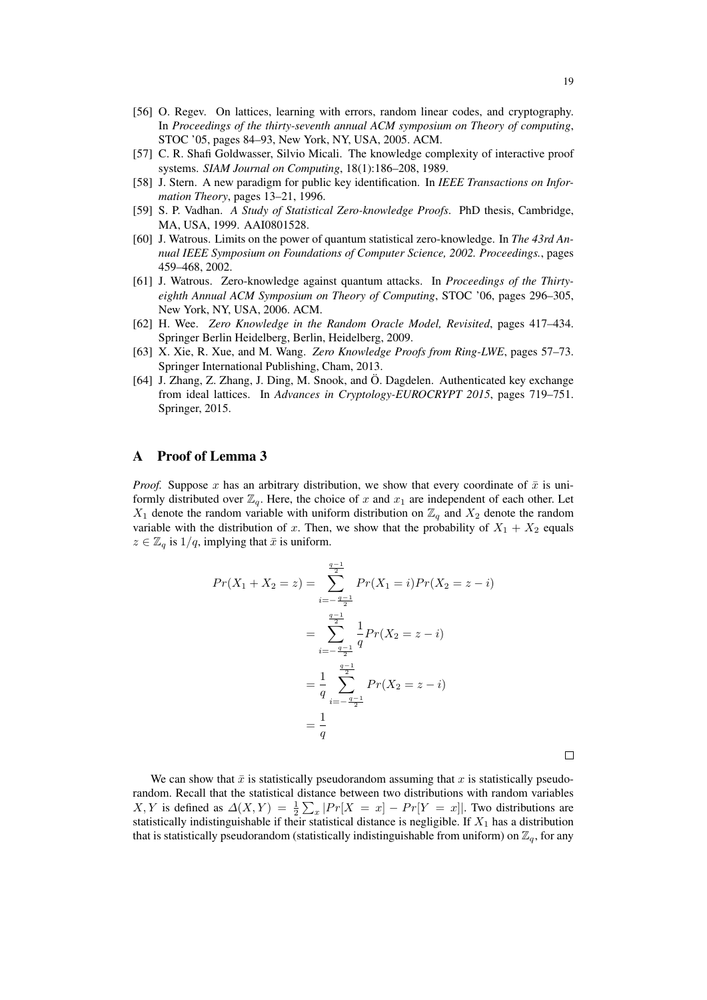- [56] O. Regev. On lattices, learning with errors, random linear codes, and cryptography. In *Proceedings of the thirty-seventh annual ACM symposium on Theory of computing*, STOC '05, pages 84–93, New York, NY, USA, 2005. ACM.
- <span id="page-18-1"></span>[57] C. R. Shafi Goldwasser, Silvio Micali. The knowledge complexity of interactive proof systems. *SIAM Journal on Computing*, 18(1):186–208, 1989.
- <span id="page-18-2"></span>[58] J. Stern. A new paradigm for public key identification. In *IEEE Transactions on Information Theory*, pages 13–21, 1996.
- <span id="page-18-6"></span>[59] S. P. Vadhan. *A Study of Statistical Zero-knowledge Proofs*. PhD thesis, Cambridge, MA, USA, 1999. AAI0801528.
- <span id="page-18-7"></span>[60] J. Watrous. Limits on the power of quantum statistical zero-knowledge. In *The 43rd Annual IEEE Symposium on Foundations of Computer Science, 2002. Proceedings.*, pages 459–468, 2002.
- <span id="page-18-8"></span>[61] J. Watrous. Zero-knowledge against quantum attacks. In *Proceedings of the Thirtyeighth Annual ACM Symposium on Theory of Computing*, STOC '06, pages 296–305, New York, NY, USA, 2006. ACM.
- <span id="page-18-5"></span>[62] H. Wee. *Zero Knowledge in the Random Oracle Model, Revisited*, pages 417–434. Springer Berlin Heidelberg, Berlin, Heidelberg, 2009.
- <span id="page-18-0"></span>[63] X. Xie, R. Xue, and M. Wang. *Zero Knowledge Proofs from Ring-LWE*, pages 57–73. Springer International Publishing, Cham, 2013.
- <span id="page-18-3"></span>[64] J. Zhang, Z. Zhang, J. Ding, M. Snook, and Ö. Dagdelen. Authenticated key exchange from ideal lattices. In *Advances in Cryptology-EUROCRYPT 2015*, pages 719–751. Springer, 2015.

### <span id="page-18-4"></span>A Proof of Lemma [3](#page-5-1)

*Proof.* Suppose x has an arbitrary distribution, we show that every coordinate of  $\bar{x}$  is uniformly distributed over  $\mathbb{Z}_q$ . Here, the choice of x and  $x_1$  are independent of each other. Let  $X_1$  denote the random variable with uniform distribution on  $\mathbb{Z}_q$  and  $X_2$  denote the random variable with the distribution of x. Then, we show that the probability of  $X_1 + X_2$  equals  $z \in \mathbb{Z}_q$  is  $1/q$ , implying that  $\bar{x}$  is uniform.

$$
Pr(X_1 + X_2 = z) = \sum_{i=-\frac{q-1}{2}}^{\frac{q-1}{2}} Pr(X_1 = i) Pr(X_2 = z - i)
$$
  
= 
$$
\sum_{i=-\frac{q-1}{2}}^{\frac{q-1}{2}} \frac{1}{q} Pr(X_2 = z - i)
$$
  
= 
$$
\frac{1}{q} \sum_{i=-\frac{q-1}{2}}^{\frac{q-1}{2}} Pr(X_2 = z - i)
$$
  
= 
$$
\frac{1}{q}
$$

 $\Box$ 

We can show that  $\bar{x}$  is statistically pseudorandom assuming that x is statistically pseudorandom. Recall that the statistical distance between two distributions with random variables X, Y is defined as  $\Delta(X,Y) = \frac{1}{2} \sum_x |Pr[X = x] - Pr[Y = x]|$ . Two distributions are statistically indistinguishable if their statistical distance is negligible. If  $X_1$  has a distribution that is statistically pseudorandom (statistically indistinguishable from uniform) on  $\mathbb{Z}_q$ , for any